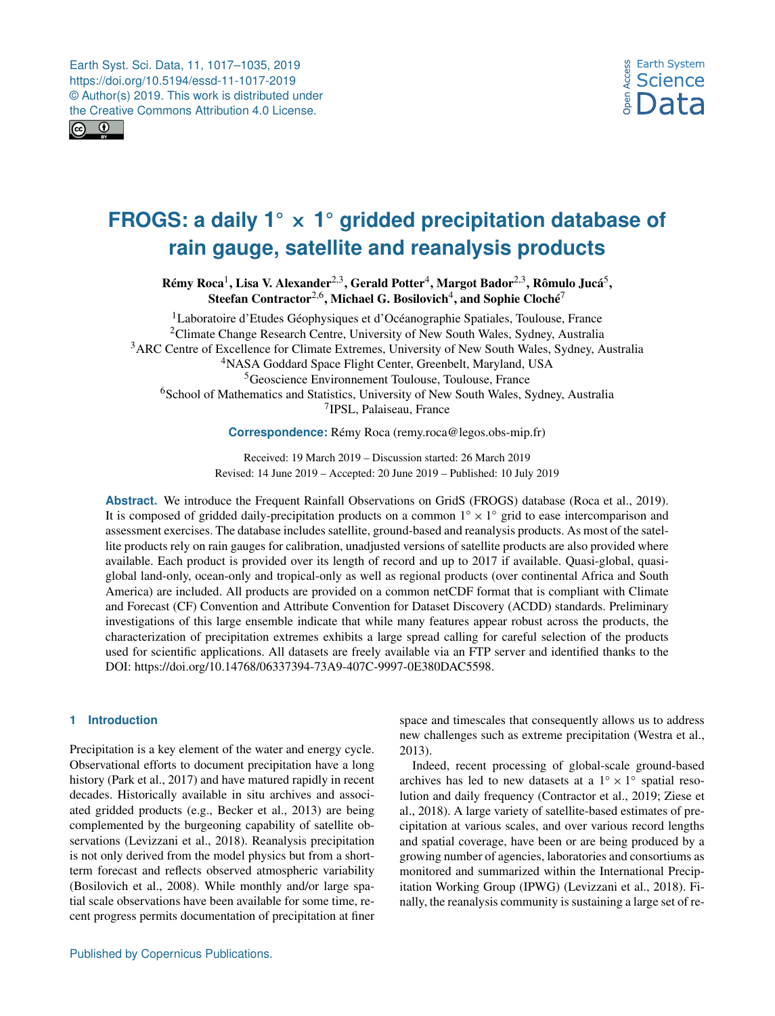<span id="page-0-1"></span>

# **FROGS: a daily 1** ◦ × **1** ◦ **gridded precipitation database of rain gauge, satellite and reanalysis products**

Rémy Roca $^1$  $^1$ , Lisa V. Alexander $^{2,3}$  $^{2,3}$  $^{2,3}$ , Gerald Potter $^4$  $^4$ , Margot Bador $^{2,3}$ , Rômulo Jucá $^5$  $^5$ , Steefan Contractor $^{2,6}$  $^{2,6}$  $^{2,6}$ , Michael G. Bosilovich $^{4}$  $^{4}$  $^{4}$ , and Sophie Cloché $^{7}$  $^{7}$  $^{7}$ 

<sup>1</sup>Laboratoire d'Etudes Géophysiques et d'Océanographie Spatiales, Toulouse, France <sup>2</sup>Climate Change Research Centre, University of New South Wales, Sydney, Australia <sup>3</sup>ARC Centre of Excellence for Climate Extremes, University of New South Wales, Sydney, Australia <sup>4</sup>NASA Goddard Space Flight Center, Greenbelt, Maryland, USA <sup>5</sup>Geoscience Environnement Toulouse, Toulouse, France <sup>6</sup>School of Mathematics and Statistics, University of New South Wales, Sydney, Australia 7 IPSL, Palaiseau, France

**Correspondence:** Rémy Roca (remy.roca@legos.obs-mip.fr)

Received: 19 March 2019 – Discussion started: 26 March 2019 Revised: 14 June 2019 – Accepted: 20 June 2019 – Published: 10 July 2019

**Abstract.** We introduce the Frequent Rainfall Observations on GridS (FROGS) database (Roca et al., 2019). It is composed of gridded daily-precipitation products on a common  $1° \times 1°$  grid to ease intercomparison and assessment exercises. The database includes satellite, ground-based and reanalysis products. As most of the satellite products rely on rain gauges for calibration, unadjusted versions of satellite products are also provided where available. Each product is provided over its length of record and up to 2017 if available. Quasi-global, quasiglobal land-only, ocean-only and tropical-only as well as regional products (over continental Africa and South America) are included. All products are provided on a common netCDF format that is compliant with Climate and Forecast (CF) Convention and Attribute Convention for Dataset Discovery (ACDD) standards. Preliminary investigations of this large ensemble indicate that while many features appear robust across the products, the characterization of precipitation extremes exhibits a large spread calling for careful selection of the products used for scientific applications. All datasets are freely available via an FTP server and identified thanks to the DOI: https://doi.org[/10.14768/06337394-73A9-407C-9997-0E380DAC5598.](https://doi.org/10.14768/06337394-73A9-407C-9997-0E380DAC5598)

# <span id="page-0-0"></span>**1 Introduction**

Precipitation is a key element of the water and energy cycle. Observational efforts to document precipitation have a long history (Park et al., 2017) and have matured rapidly in recent decades. Historically available in situ archives and associated gridded products (e.g., Becker et al., 2013) are being complemented by the burgeoning capability of satellite observations (Levizzani et al., 2018). Reanalysis precipitation is not only derived from the model physics but from a shortterm forecast and reflects observed atmospheric variability (Bosilovich et al., 2008). While monthly and/or large spatial scale observations have been available for some time, recent progress permits documentation of precipitation at finer space and timescales that consequently allows us to address new challenges such as extreme precipitation (Westra et al., 2013).

Indeed, recent processing of global-scale ground-based archives has led to new datasets at a  $1° \times 1°$  spatial resolution and daily frequency (Contractor et al., 2019; Ziese et al., 2018). A large variety of satellite-based estimates of precipitation at various scales, and over various record lengths and spatial coverage, have been or are being produced by a growing number of agencies, laboratories and consortiums as monitored and summarized within the International Precipitation Working Group (IPWG) (Levizzani et al., 2018). Finally, the reanalysis community is sustaining a large set of re-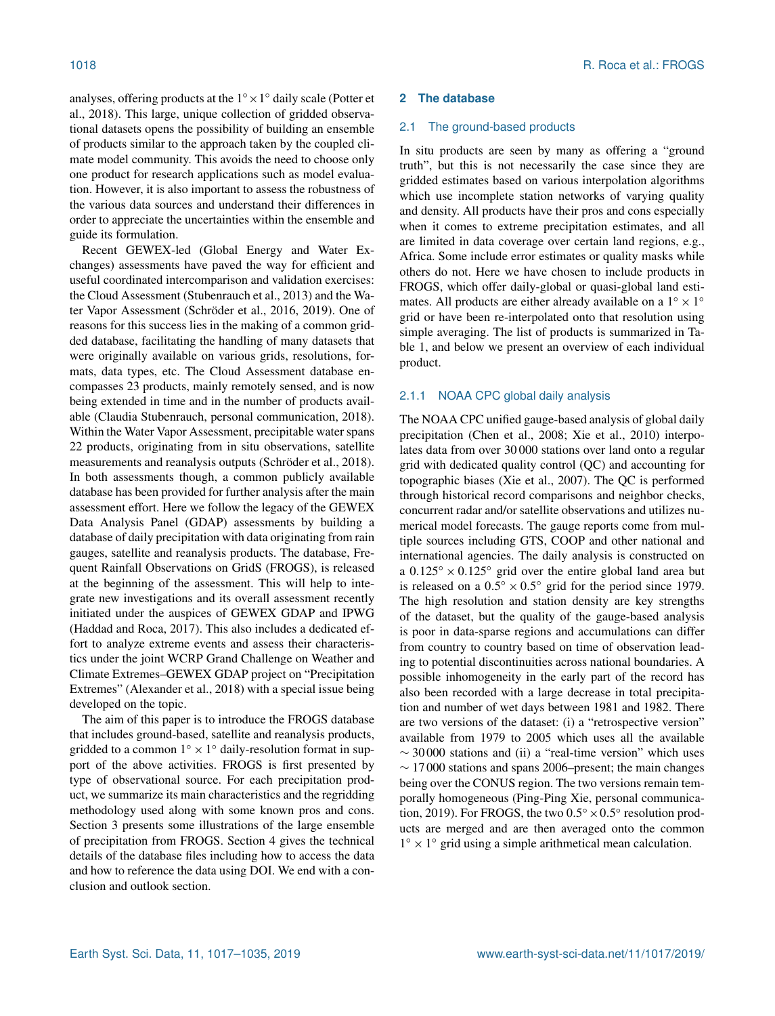analyses, offering products at the  $1^\circ \times 1^\circ$  daily scale (Potter et al., 2018). This large, unique collection of gridded observational datasets opens the possibility of building an ensemble of products similar to the approach taken by the coupled climate model community. This avoids the need to choose only one product for research applications such as model evaluation. However, it is also important to assess the robustness of the various data sources and understand their differences in order to appreciate the uncertainties within the ensemble and guide its formulation.

Recent GEWEX-led (Global Energy and Water Exchanges) assessments have paved the way for efficient and useful coordinated intercomparison and validation exercises: the Cloud Assessment (Stubenrauch et al., 2013) and the Water Vapor Assessment (Schröder et al., 2016, 2019). One of reasons for this success lies in the making of a common gridded database, facilitating the handling of many datasets that were originally available on various grids, resolutions, formats, data types, etc. The Cloud Assessment database encompasses 23 products, mainly remotely sensed, and is now being extended in time and in the number of products available (Claudia Stubenrauch, personal communication, 2018). Within the Water Vapor Assessment, precipitable water spans 22 products, originating from in situ observations, satellite measurements and reanalysis outputs (Schröder et al., 2018). In both assessments though, a common publicly available database has been provided for further analysis after the main assessment effort. Here we follow the legacy of the GEWEX Data Analysis Panel (GDAP) assessments by building a database of daily precipitation with data originating from rain gauges, satellite and reanalysis products. The database, Frequent Rainfall Observations on GridS (FROGS), is released at the beginning of the assessment. This will help to integrate new investigations and its overall assessment recently initiated under the auspices of GEWEX GDAP and IPWG (Haddad and Roca, 2017). This also includes a dedicated effort to analyze extreme events and assess their characteristics under the joint WCRP Grand Challenge on Weather and Climate Extremes–GEWEX GDAP project on "Precipitation Extremes" (Alexander et al., 2018) with a special issue being developed on the topic.

The aim of this paper is to introduce the FROGS database that includes ground-based, satellite and reanalysis products, gridded to a common  $1^\circ \times 1^\circ$  daily-resolution format in support of the above activities. FROGS is first presented by type of observational source. For each precipitation product, we summarize its main characteristics and the regridding methodology used along with some known pros and cons. Section 3 presents some illustrations of the large ensemble of precipitation from FROGS. Section 4 gives the technical details of the database files including how to access the data and how to reference the data using DOI. We end with a conclusion and outlook section.

## **2 The database**

#### 2.1 The ground-based products

In situ products are seen by many as offering a "ground truth", but this is not necessarily the case since they are gridded estimates based on various interpolation algorithms which use incomplete station networks of varying quality and density. All products have their pros and cons especially when it comes to extreme precipitation estimates, and all are limited in data coverage over certain land regions, e.g., Africa. Some include error estimates or quality masks while others do not. Here we have chosen to include products in FROGS, which offer daily-global or quasi-global land estimates. All products are either already available on a  $1° \times 1°$ grid or have been re-interpolated onto that resolution using simple averaging. The list of products is summarized in Table 1, and below we present an overview of each individual product.

# 2.1.1 NOAA CPC global daily analysis

The NOAA CPC unified gauge-based analysis of global daily precipitation (Chen et al., 2008; Xie et al., 2010) interpolates data from over 30 000 stations over land onto a regular grid with dedicated quality control (QC) and accounting for topographic biases (Xie et al., 2007). The QC is performed through historical record comparisons and neighbor checks, concurrent radar and/or satellite observations and utilizes numerical model forecasts. The gauge reports come from multiple sources including GTS, COOP and other national and international agencies. The daily analysis is constructed on a  $0.125^\circ \times 0.125^\circ$  grid over the entire global land area but is released on a  $0.5^{\circ} \times 0.5^{\circ}$  grid for the period since 1979. The high resolution and station density are key strengths of the dataset, but the quality of the gauge-based analysis is poor in data-sparse regions and accumulations can differ from country to country based on time of observation leading to potential discontinuities across national boundaries. A possible inhomogeneity in the early part of the record has also been recorded with a large decrease in total precipitation and number of wet days between 1981 and 1982. There are two versions of the dataset: (i) a "retrospective version" available from 1979 to 2005 which uses all the available  $\sim$  30000 stations and (ii) a "real-time version" which uses  $\sim$  17000 stations and spans 2006–present; the main changes being over the CONUS region. The two versions remain temporally homogeneous (Ping-Ping Xie, personal communication, 2019). For FROGS, the two  $0.5^{\circ} \times 0.5^{\circ}$  resolution products are merged and are then averaged onto the common  $1^\circ \times 1^\circ$  grid using a simple arithmetical mean calculation.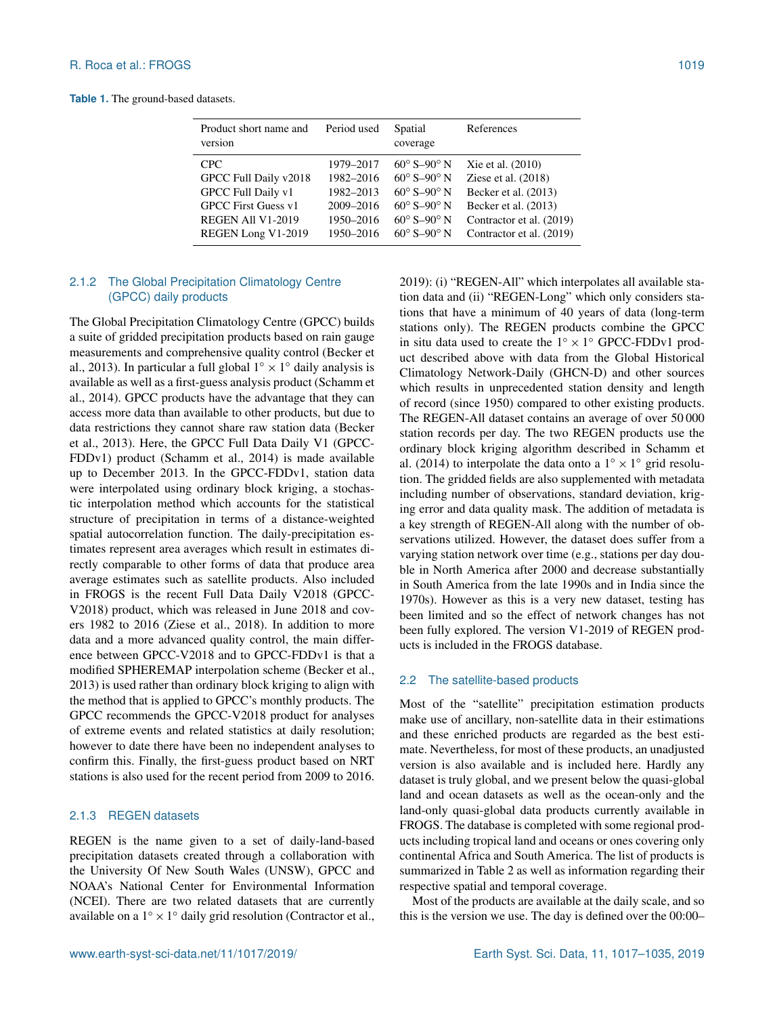**Table 1.** The ground-based datasets.

| Product short name and<br>version | Period used | Spatial<br>coverage            | References               |
|-----------------------------------|-------------|--------------------------------|--------------------------|
| CPC.                              | 1979-2017   | $60^{\circ}$ S-90 $^{\circ}$ N | Xie et al. (2010)        |
| GPCC Full Daily v2018             | 1982-2016   | $60^{\circ}$ S-90° N           | Ziese et al. (2018)      |
| GPCC Full Daily v1                | 1982-2013   | $60^{\circ}$ S-90 $^{\circ}$ N | Becker et al. (2013)     |
| <b>GPCC First Guess v1</b>        | 2009-2016   | $60^\circ$ S-90 $^\circ$ N     | Becker et al. (2013)     |
| <b>REGEN All V1-2019</b>          | 1950-2016   | $60^{\circ}$ S-90 $^{\circ}$ N | Contractor et al. (2019) |
| REGEN Long V1-2019                | 1950-2016   | $60^{\circ}$ S-90 $^{\circ}$ N | Contractor et al. (2019) |

# 2.1.2 The Global Precipitation Climatology Centre (GPCC) daily products

The Global Precipitation Climatology Centre (GPCC) builds a suite of gridded precipitation products based on rain gauge measurements and comprehensive quality control (Becker et al., 2013). In particular a full global  $1^\circ \times 1^\circ$  daily analysis is available as well as a first-guess analysis product (Schamm et al., 2014). GPCC products have the advantage that they can access more data than available to other products, but due to data restrictions they cannot share raw station data (Becker et al., 2013). Here, the GPCC Full Data Daily V1 (GPCC-FDDv1) product (Schamm et al., 2014) is made available up to December 2013. In the GPCC-FDDv1, station data were interpolated using ordinary block kriging, a stochastic interpolation method which accounts for the statistical structure of precipitation in terms of a distance-weighted spatial autocorrelation function. The daily-precipitation estimates represent area averages which result in estimates directly comparable to other forms of data that produce area average estimates such as satellite products. Also included in FROGS is the recent Full Data Daily V2018 (GPCC-V2018) product, which was released in June 2018 and covers 1982 to 2016 (Ziese et al., 2018). In addition to more data and a more advanced quality control, the main difference between GPCC-V2018 and to GPCC-FDDv1 is that a modified SPHEREMAP interpolation scheme (Becker et al., 2013) is used rather than ordinary block kriging to align with the method that is applied to GPCC's monthly products. The GPCC recommends the GPCC-V2018 product for analyses of extreme events and related statistics at daily resolution; however to date there have been no independent analyses to confirm this. Finally, the first-guess product based on NRT stations is also used for the recent period from 2009 to 2016.

## 2.1.3 REGEN datasets

REGEN is the name given to a set of daily-land-based precipitation datasets created through a collaboration with the University Of New South Wales (UNSW), GPCC and NOAA's National Center for Environmental Information (NCEI). There are two related datasets that are currently available on a  $1^\circ \times 1^\circ$  daily grid resolution (Contractor et al.,

2019): (i) "REGEN-All" which interpolates all available station data and (ii) "REGEN-Long" which only considers stations that have a minimum of 40 years of data (long-term stations only). The REGEN products combine the GPCC in situ data used to create the  $1° \times 1°$  GPCC-FDDv1 product described above with data from the Global Historical Climatology Network-Daily (GHCN-D) and other sources which results in unprecedented station density and length of record (since 1950) compared to other existing products. The REGEN-All dataset contains an average of over 50 000 station records per day. The two REGEN products use the ordinary block kriging algorithm described in Schamm et al. (2014) to interpolate the data onto a  $1° \times 1°$  grid resolution. The gridded fields are also supplemented with metadata including number of observations, standard deviation, kriging error and data quality mask. The addition of metadata is a key strength of REGEN-All along with the number of observations utilized. However, the dataset does suffer from a varying station network over time (e.g., stations per day double in North America after 2000 and decrease substantially in South America from the late 1990s and in India since the 1970s). However as this is a very new dataset, testing has been limited and so the effect of network changes has not been fully explored. The version V1-2019 of REGEN products is included in the FROGS database.

# 2.2 The satellite-based products

Most of the "satellite" precipitation estimation products make use of ancillary, non-satellite data in their estimations and these enriched products are regarded as the best estimate. Nevertheless, for most of these products, an unadjusted version is also available and is included here. Hardly any dataset is truly global, and we present below the quasi-global land and ocean datasets as well as the ocean-only and the land-only quasi-global data products currently available in FROGS. The database is completed with some regional products including tropical land and oceans or ones covering only continental Africa and South America. The list of products is summarized in Table 2 as well as information regarding their respective spatial and temporal coverage.

Most of the products are available at the daily scale, and so this is the version we use. The day is defined over the 00:00–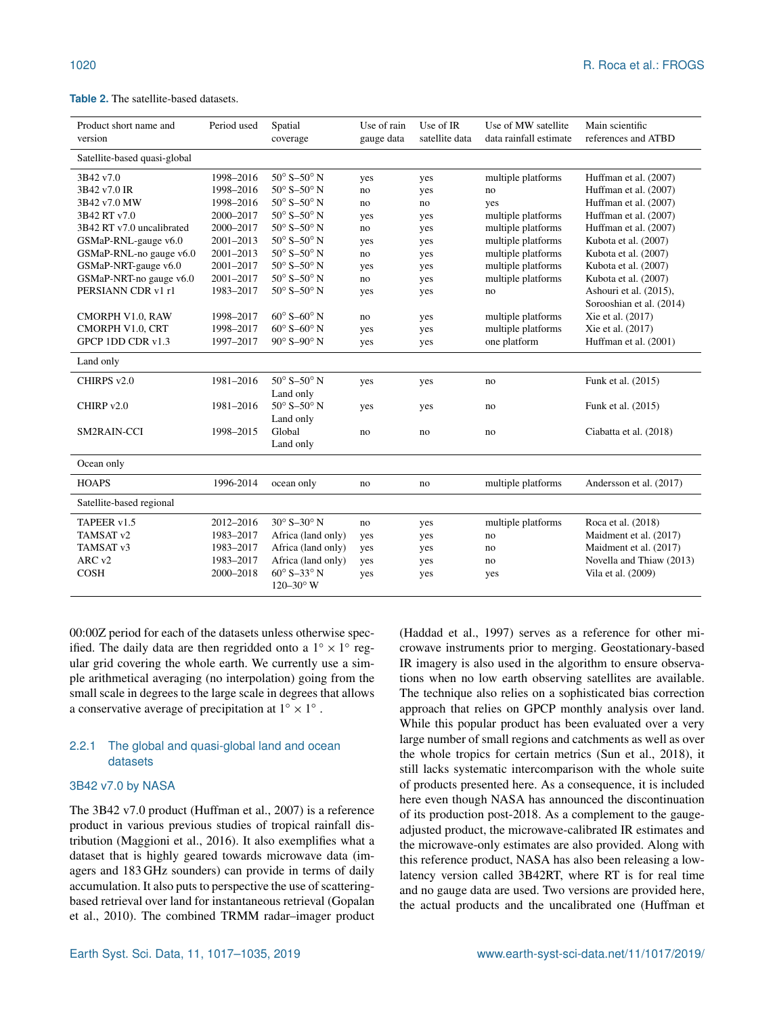#### **Table 2.** The satellite-based datasets.

| Product short name and<br>version | Period used | Spatial<br>coverage            | Use of rain<br>gauge data | Use of IR<br>satellite data | Use of MW satellite<br>data rainfall estimate | Main scientific<br>references and ATBD |
|-----------------------------------|-------------|--------------------------------|---------------------------|-----------------------------|-----------------------------------------------|----------------------------------------|
| Satellite-based quasi-global      |             |                                |                           |                             |                                               |                                        |
| 3B42 v7.0                         | 1998-2016   | $50^\circ$ S- $50^\circ$ N     | yes                       | yes                         | multiple platforms                            | Huffman et al. (2007)                  |
| 3B42 v7.0 IR                      | 1998-2016   | $50^\circ$ S- $50^\circ$ N     | no                        | yes                         | no                                            | Huffman et al. (2007)                  |
| 3B42 v7.0 MW                      | 1998-2016   | $50^\circ$ S- $50^\circ$ N     | no                        | no                          | yes                                           | Huffman et al. (2007)                  |
| 3B42 RT v7.0                      | 2000-2017   | $50^{\circ}$ S- $50^{\circ}$ N | yes                       | yes                         | multiple platforms                            | Huffman et al. (2007)                  |
| 3B42 RT v7.0 uncalibrated         | 2000-2017   | $50^{\circ}$ S- $50^{\circ}$ N | no                        | yes                         | multiple platforms                            | Huffman et al. (2007)                  |
| GSMaP-RNL-gauge v6.0              | 2001-2013   | $50^{\circ}$ S- $50^{\circ}$ N | yes                       | yes                         | multiple platforms                            | Kubota et al. (2007)                   |
| GSMaP-RNL-no gauge v6.0           | 2001-2013   | $50^{\circ}$ S- $50^{\circ}$ N | no                        | yes                         | multiple platforms                            | Kubota et al. (2007)                   |
| GSMaP-NRT-gauge v6.0              | 2001-2017   | $50^{\circ}$ S- $50^{\circ}$ N | yes                       | yes                         | multiple platforms                            | Kubota et al. (2007)                   |
| GSMaP-NRT-no gauge v6.0           | 2001-2017   | $50^{\circ}$ S- $50^{\circ}$ N | no                        | yes                         | multiple platforms                            | Kubota et al. (2007)                   |
| PERSIANN CDR v1 r1                | 1983-2017   | $50^{\circ}$ S- $50^{\circ}$ N | yes                       | yes                         | no                                            | Ashouri et al. (2015),                 |
|                                   |             |                                |                           |                             |                                               | Sorooshian et al. (2014)               |
| CMORPH V1.0, RAW                  | 1998-2017   | $60^\circ$ S- $60^\circ$ N     | no                        | yes                         | multiple platforms                            | Xie et al. (2017)                      |
| CMORPH V1.0, CRT                  | 1998-2017   | $60^\circ$ S-60 $^\circ$ N     | yes                       | yes                         | multiple platforms                            | Xie et al. (2017)                      |
| GPCP 1DD CDR v1.3                 | 1997-2017   | $90^\circ$ S- $90^\circ$ N     | yes                       | yes                         | one platform                                  | Huffman et al. (2001)                  |
| Land only                         |             |                                |                           |                             |                                               |                                        |
| CHIRPS v2.0                       | 1981-2016   | $50^{\circ}$ S- $50^{\circ}$ N | yes                       | yes                         | no                                            | Funk et al. (2015)                     |
|                                   |             | Land only                      |                           |                             |                                               |                                        |
| CHIRP v2.0                        | 1981-2016   | $50^{\circ}$ S- $50^{\circ}$ N | yes                       | yes                         | no                                            | Funk et al. (2015)                     |
|                                   |             | Land only                      |                           |                             |                                               |                                        |
| <b>SM2RAIN-CCI</b>                | 1998-2015   | Global                         | no                        | no                          | no                                            | Ciabatta et al. (2018)                 |
|                                   |             | Land only                      |                           |                             |                                               |                                        |
| Ocean only                        |             |                                |                           |                             |                                               |                                        |
| <b>HOAPS</b>                      | 1996-2014   | ocean only                     | no                        | no                          | multiple platforms                            | Andersson et al. (2017)                |
| Satellite-based regional          |             |                                |                           |                             |                                               |                                        |
| TAPEER v1.5                       | 2012-2016   | $30^{\circ}$ S-30 $^{\circ}$ N | no                        | yes                         | multiple platforms                            | Roca et al. (2018)                     |
| TAMSAT <sub>v2</sub>              | 1983-2017   | Africa (land only)             | yes                       | yes                         | no                                            | Maidment et al. (2017)                 |
| TAMSAT <sub>v3</sub>              | 1983-2017   | Africa (land only)             | yes                       | yes                         | no                                            | Maidment et al. (2017)                 |
| ARC <sub>v2</sub>                 | 1983-2017   | Africa (land only)             | yes                       | yes                         | no                                            | Novella and Thiaw (2013)               |
| <b>COSH</b>                       | 2000-2018   | $60^\circ$ S-33 $^\circ$ N     | yes                       | yes                         | yes                                           | Vila et al. (2009)                     |
|                                   |             | $120 - 30^{\circ}$ W           |                           |                             |                                               |                                        |

00:00Z period for each of the datasets unless otherwise specified. The daily data are then regridded onto a  $1^\circ \times 1^\circ$  regular grid covering the whole earth. We currently use a simple arithmetical averaging (no interpolation) going from the small scale in degrees to the large scale in degrees that allows a conservative average of precipitation at  $1^\circ \times 1^\circ$ .

# 2.2.1 The global and quasi-global land and ocean datasets

# 3B42 v7.0 by NASA

The 3B42 v7.0 product (Huffman et al., 2007) is a reference product in various previous studies of tropical rainfall distribution (Maggioni et al., 2016). It also exemplifies what a dataset that is highly geared towards microwave data (imagers and 183 GHz sounders) can provide in terms of daily accumulation. It also puts to perspective the use of scatteringbased retrieval over land for instantaneous retrieval (Gopalan et al., 2010). The combined TRMM radar–imager product (Haddad et al., 1997) serves as a reference for other microwave instruments prior to merging. Geostationary-based IR imagery is also used in the algorithm to ensure observations when no low earth observing satellites are available. The technique also relies on a sophisticated bias correction approach that relies on GPCP monthly analysis over land. While this popular product has been evaluated over a very large number of small regions and catchments as well as over the whole tropics for certain metrics (Sun et al., 2018), it still lacks systematic intercomparison with the whole suite of products presented here. As a consequence, it is included here even though NASA has announced the discontinuation of its production post-2018. As a complement to the gaugeadjusted product, the microwave-calibrated IR estimates and the microwave-only estimates are also provided. Along with this reference product, NASA has also been releasing a lowlatency version called 3B42RT, where RT is for real time and no gauge data are used. Two versions are provided here, the actual products and the uncalibrated one (Huffman et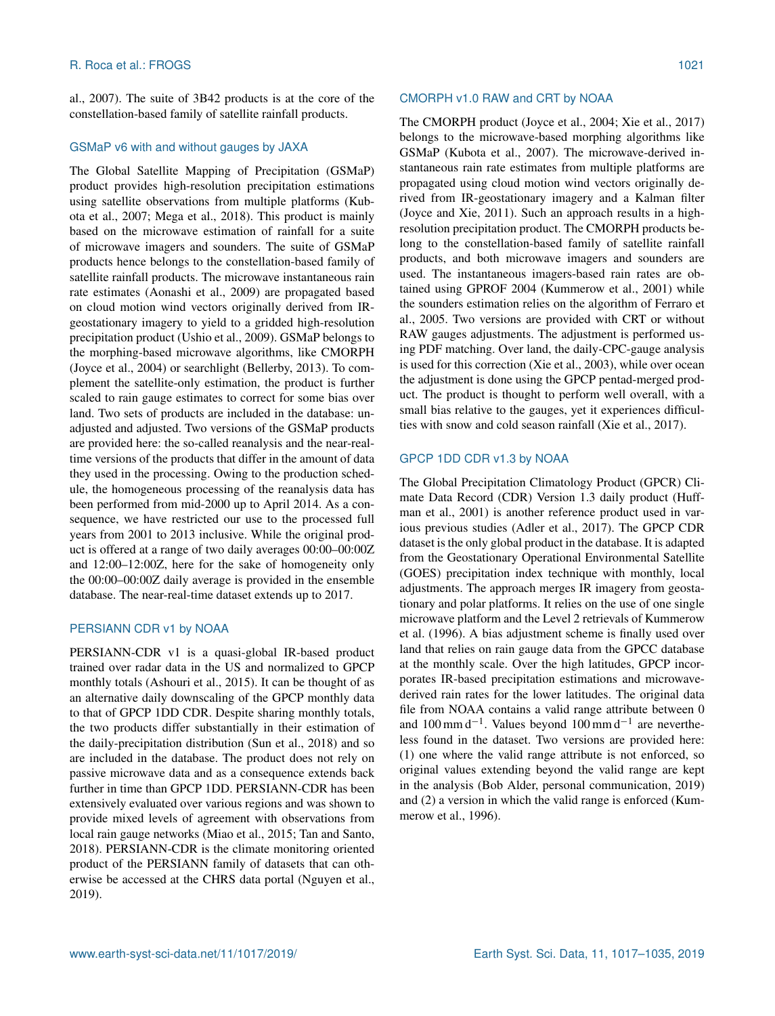al., 2007). The suite of 3B42 products is at the core of the constellation-based family of satellite rainfall products.

## GSMaP v6 with and without gauges by JAXA

The Global Satellite Mapping of Precipitation (GSMaP) product provides high-resolution precipitation estimations using satellite observations from multiple platforms (Kubota et al., 2007; Mega et al., 2018). This product is mainly based on the microwave estimation of rainfall for a suite of microwave imagers and sounders. The suite of GSMaP products hence belongs to the constellation-based family of satellite rainfall products. The microwave instantaneous rain rate estimates (Aonashi et al., 2009) are propagated based on cloud motion wind vectors originally derived from IRgeostationary imagery to yield to a gridded high-resolution precipitation product (Ushio et al., 2009). GSMaP belongs to the morphing-based microwave algorithms, like CMORPH (Joyce et al., 2004) or searchlight (Bellerby, 2013). To complement the satellite-only estimation, the product is further scaled to rain gauge estimates to correct for some bias over land. Two sets of products are included in the database: unadjusted and adjusted. Two versions of the GSMaP products are provided here: the so-called reanalysis and the near-realtime versions of the products that differ in the amount of data they used in the processing. Owing to the production schedule, the homogeneous processing of the reanalysis data has been performed from mid-2000 up to April 2014. As a consequence, we have restricted our use to the processed full years from 2001 to 2013 inclusive. While the original product is offered at a range of two daily averages 00:00–00:00Z and 12:00–12:00Z, here for the sake of homogeneity only the 00:00–00:00Z daily average is provided in the ensemble database. The near-real-time dataset extends up to 2017.

## PERSIANN CDR v1 by NOAA

PERSIANN-CDR v1 is a quasi-global IR-based product trained over radar data in the US and normalized to GPCP monthly totals (Ashouri et al., 2015). It can be thought of as an alternative daily downscaling of the GPCP monthly data to that of GPCP 1DD CDR. Despite sharing monthly totals, the two products differ substantially in their estimation of the daily-precipitation distribution (Sun et al., 2018) and so are included in the database. The product does not rely on passive microwave data and as a consequence extends back further in time than GPCP 1DD. PERSIANN-CDR has been extensively evaluated over various regions and was shown to provide mixed levels of agreement with observations from local rain gauge networks (Miao et al., 2015; Tan and Santo, 2018). PERSIANN-CDR is the climate monitoring oriented product of the PERSIANN family of datasets that can otherwise be accessed at the CHRS data portal (Nguyen et al., 2019).

## CMORPH v1.0 RAW and CRT by NOAA

The CMORPH product (Joyce et al., 2004; Xie et al., 2017) belongs to the microwave-based morphing algorithms like GSMaP (Kubota et al., 2007). The microwave-derived instantaneous rain rate estimates from multiple platforms are propagated using cloud motion wind vectors originally derived from IR-geostationary imagery and a Kalman filter (Joyce and Xie, 2011). Such an approach results in a highresolution precipitation product. The CMORPH products belong to the constellation-based family of satellite rainfall products, and both microwave imagers and sounders are used. The instantaneous imagers-based rain rates are obtained using GPROF 2004 (Kummerow et al., 2001) while the sounders estimation relies on the algorithm of Ferraro et al., 2005. Two versions are provided with CRT or without RAW gauges adjustments. The adjustment is performed using PDF matching. Over land, the daily-CPC-gauge analysis is used for this correction (Xie et al., 2003), while over ocean the adjustment is done using the GPCP pentad-merged product. The product is thought to perform well overall, with a small bias relative to the gauges, yet it experiences difficulties with snow and cold season rainfall (Xie et al., 2017).

# GPCP 1DD CDR v1.3 by NOAA

The Global Precipitation Climatology Product (GPCR) Climate Data Record (CDR) Version 1.3 daily product (Huffman et al., 2001) is another reference product used in various previous studies (Adler et al., 2017). The GPCP CDR dataset is the only global product in the database. It is adapted from the Geostationary Operational Environmental Satellite (GOES) precipitation index technique with monthly, local adjustments. The approach merges IR imagery from geostationary and polar platforms. It relies on the use of one single microwave platform and the Level 2 retrievals of Kummerow et al. (1996). A bias adjustment scheme is finally used over land that relies on rain gauge data from the GPCC database at the monthly scale. Over the high latitudes, GPCP incorporates IR-based precipitation estimations and microwavederived rain rates for the lower latitudes. The original data file from NOAA contains a valid range attribute between 0 and 100 mm d<sup>-1</sup>. Values beyond 100 mm d<sup>-1</sup> are nevertheless found in the dataset. Two versions are provided here: (1) one where the valid range attribute is not enforced, so original values extending beyond the valid range are kept in the analysis (Bob Alder, personal communication, 2019) and (2) a version in which the valid range is enforced (Kummerow et al., 1996).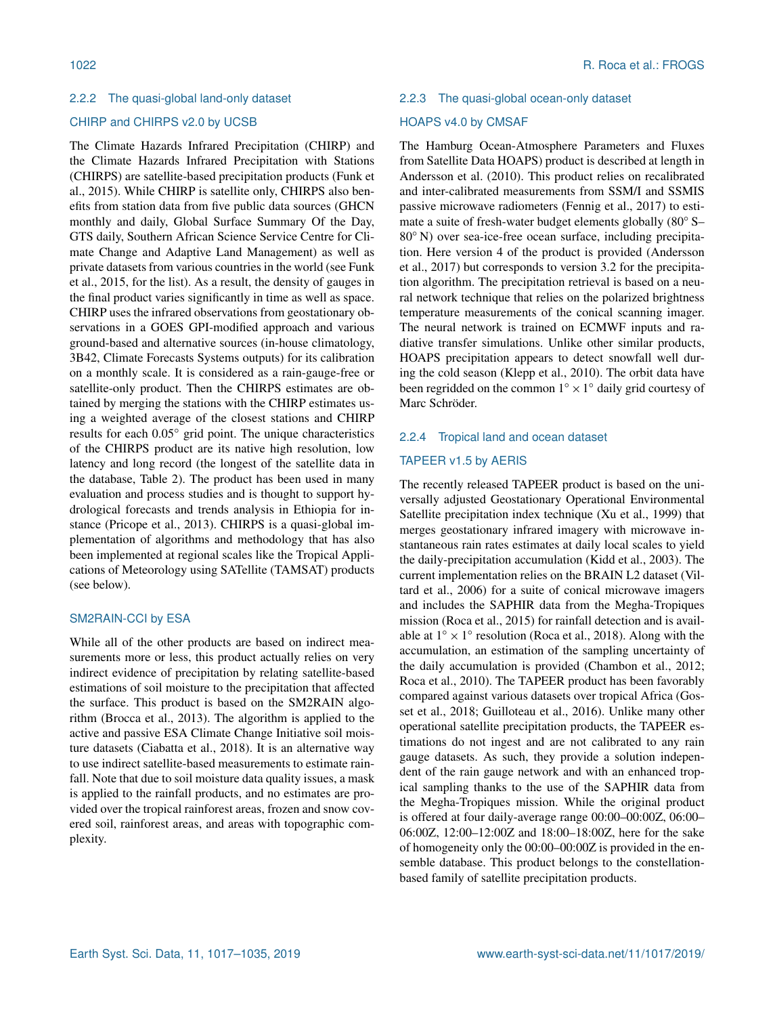## CHIRP and CHIRPS v2.0 by UCSB

The Climate Hazards Infrared Precipitation (CHIRP) and the Climate Hazards Infrared Precipitation with Stations (CHIRPS) are satellite-based precipitation products (Funk et al., 2015). While CHIRP is satellite only, CHIRPS also benefits from station data from five public data sources (GHCN monthly and daily, Global Surface Summary Of the Day, GTS daily, Southern African Science Service Centre for Climate Change and Adaptive Land Management) as well as private datasets from various countries in the world (see Funk et al., 2015, for the list). As a result, the density of gauges in the final product varies significantly in time as well as space. CHIRP uses the infrared observations from geostationary observations in a GOES GPI-modified approach and various ground-based and alternative sources (in-house climatology, 3B42, Climate Forecasts Systems outputs) for its calibration on a monthly scale. It is considered as a rain-gauge-free or satellite-only product. Then the CHIRPS estimates are obtained by merging the stations with the CHIRP estimates using a weighted average of the closest stations and CHIRP results for each 0.05◦ grid point. The unique characteristics of the CHIRPS product are its native high resolution, low latency and long record (the longest of the satellite data in the database, Table 2). The product has been used in many evaluation and process studies and is thought to support hydrological forecasts and trends analysis in Ethiopia for instance (Pricope et al., 2013). CHIRPS is a quasi-global implementation of algorithms and methodology that has also been implemented at regional scales like the Tropical Applications of Meteorology using SATellite (TAMSAT) products (see below).

# SM2RAIN-CCI by ESA

While all of the other products are based on indirect measurements more or less, this product actually relies on very indirect evidence of precipitation by relating satellite-based estimations of soil moisture to the precipitation that affected the surface. This product is based on the SM2RAIN algorithm (Brocca et al., 2013). The algorithm is applied to the active and passive ESA Climate Change Initiative soil moisture datasets (Ciabatta et al., 2018). It is an alternative way to use indirect satellite-based measurements to estimate rainfall. Note that due to soil moisture data quality issues, a mask is applied to the rainfall products, and no estimates are provided over the tropical rainforest areas, frozen and snow covered soil, rainforest areas, and areas with topographic complexity.

#### 2.2.3 The quasi-global ocean-only dataset

## HOAPS v4.0 by CMSAF

The Hamburg Ocean-Atmosphere Parameters and Fluxes from Satellite Data HOAPS) product is described at length in Andersson et al. (2010). This product relies on recalibrated and inter-calibrated measurements from SSM/I and SSMIS passive microwave radiometers (Fennig et al., 2017) to estimate a suite of fresh-water budget elements globally (80◦ S– 80<sup>°</sup> N) over sea-ice-free ocean surface, including precipitation. Here version 4 of the product is provided (Andersson et al., 2017) but corresponds to version 3.2 for the precipitation algorithm. The precipitation retrieval is based on a neural network technique that relies on the polarized brightness temperature measurements of the conical scanning imager. The neural network is trained on ECMWF inputs and radiative transfer simulations. Unlike other similar products, HOAPS precipitation appears to detect snowfall well during the cold season (Klepp et al., 2010). The orbit data have been regridded on the common  $1° \times 1°$  daily grid courtesy of Marc Schröder.

# 2.2.4 Tropical land and ocean dataset

# TAPEER v1.5 by AERIS

The recently released TAPEER product is based on the universally adjusted Geostationary Operational Environmental Satellite precipitation index technique (Xu et al., 1999) that merges geostationary infrared imagery with microwave instantaneous rain rates estimates at daily local scales to yield the daily-precipitation accumulation (Kidd et al., 2003). The current implementation relies on the BRAIN L2 dataset (Viltard et al., 2006) for a suite of conical microwave imagers and includes the SAPHIR data from the Megha-Tropiques mission (Roca et al., 2015) for rainfall detection and is available at  $1° \times 1°$  resolution (Roca et al., 2018). Along with the accumulation, an estimation of the sampling uncertainty of the daily accumulation is provided (Chambon et al., 2012; Roca et al., 2010). The TAPEER product has been favorably compared against various datasets over tropical Africa (Gosset et al., 2018; Guilloteau et al., 2016). Unlike many other operational satellite precipitation products, the TAPEER estimations do not ingest and are not calibrated to any rain gauge datasets. As such, they provide a solution independent of the rain gauge network and with an enhanced tropical sampling thanks to the use of the SAPHIR data from the Megha-Tropiques mission. While the original product is offered at four daily-average range 00:00–00:00Z, 06:00– 06:00Z, 12:00–12:00Z and 18:00–18:00Z, here for the sake of homogeneity only the 00:00–00:00Z is provided in the ensemble database. This product belongs to the constellationbased family of satellite precipitation products.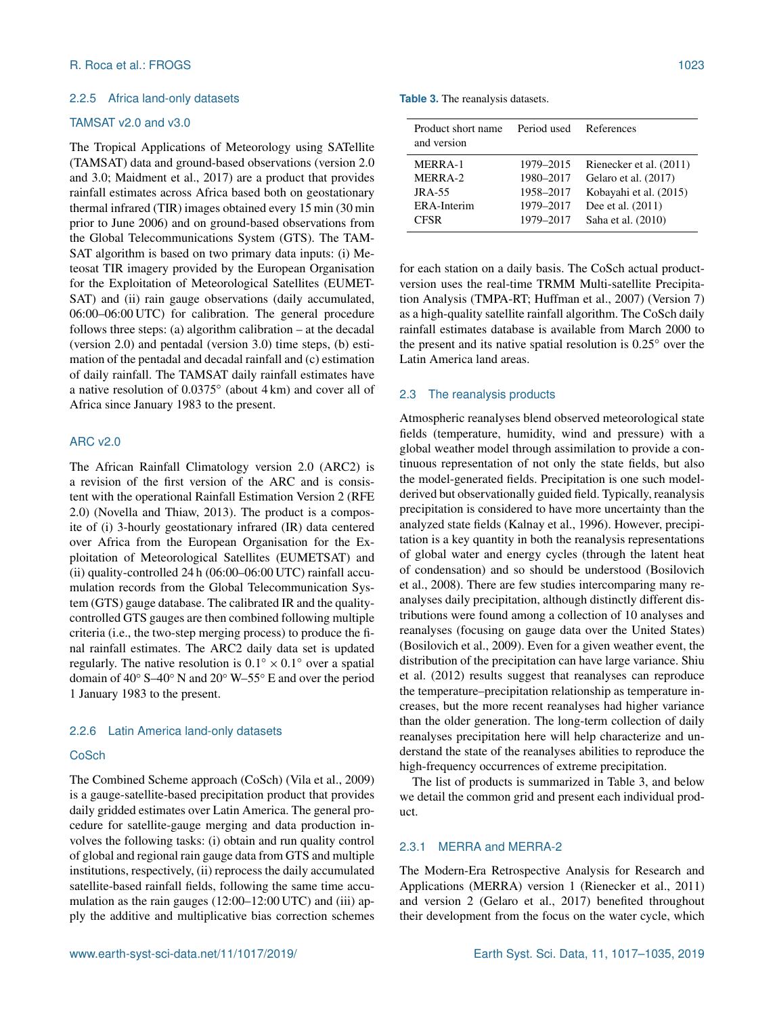# 2.2.5 Africa land-only datasets

# TAMSAT v2.0 and v3.0

The Tropical Applications of Meteorology using SATellite (TAMSAT) data and ground-based observations (version 2.0 and 3.0; Maidment et al., 2017) are a product that provides rainfall estimates across Africa based both on geostationary thermal infrared (TIR) images obtained every 15 min (30 min prior to June 2006) and on ground-based observations from the Global Telecommunications System (GTS). The TAM-SAT algorithm is based on two primary data inputs: (i) Meteosat TIR imagery provided by the European Organisation for the Exploitation of Meteorological Satellites (EUMET-SAT) and (ii) rain gauge observations (daily accumulated, 06:00–06:00 UTC) for calibration. The general procedure follows three steps: (a) algorithm calibration – at the decadal (version 2.0) and pentadal (version 3.0) time steps, (b) estimation of the pentadal and decadal rainfall and (c) estimation of daily rainfall. The TAMSAT daily rainfall estimates have a native resolution of 0.0375◦ (about 4 km) and cover all of Africa since January 1983 to the present.

# ARC v2.0

The African Rainfall Climatology version 2.0 (ARC2) is a revision of the first version of the ARC and is consistent with the operational Rainfall Estimation Version 2 (RFE 2.0) (Novella and Thiaw, 2013). The product is a composite of (i) 3-hourly geostationary infrared (IR) data centered over Africa from the European Organisation for the Exploitation of Meteorological Satellites (EUMETSAT) and (ii) quality-controlled 24 h (06:00–06:00 UTC) rainfall accumulation records from the Global Telecommunication System (GTS) gauge database. The calibrated IR and the qualitycontrolled GTS gauges are then combined following multiple criteria (i.e., the two-step merging process) to produce the final rainfall estimates. The ARC2 daily data set is updated regularly. The native resolution is  $0.1^{\circ} \times 0.1^{\circ}$  over a spatial domain of 40◦ S–40◦ N and 20◦ W–55◦ E and over the period 1 January 1983 to the present.

#### 2.2.6 Latin America land-only datasets

# **CoSch**

The Combined Scheme approach (CoSch) (Vila et al., 2009) is a gauge-satellite-based precipitation product that provides daily gridded estimates over Latin America. The general procedure for satellite-gauge merging and data production involves the following tasks: (i) obtain and run quality control of global and regional rain gauge data from GTS and multiple institutions, respectively, (ii) reprocess the daily accumulated satellite-based rainfall fields, following the same time accumulation as the rain gauges (12:00–12:00 UTC) and (iii) apply the additive and multiplicative bias correction schemes

**Table 3.** The reanalysis datasets.

| Product short name<br>and version                                   | Period used                                                   | References                                                                                                             |
|---------------------------------------------------------------------|---------------------------------------------------------------|------------------------------------------------------------------------------------------------------------------------|
| <b>MERRA-1</b><br>MERRA-2<br>$JRA-55$<br>ERA-Interim<br><b>CFSR</b> | 1979–2015<br>1980-2017<br>1958–2017<br>1979-2017<br>1979-2017 | Rienecker et al. (2011)<br>Gelaro et al. (2017)<br>Kobayahi et al. (2015)<br>Dee et al. $(2011)$<br>Saha et al. (2010) |
|                                                                     |                                                               |                                                                                                                        |

for each station on a daily basis. The CoSch actual productversion uses the real-time TRMM Multi-satellite Precipitation Analysis (TMPA-RT; Huffman et al., 2007) (Version 7) as a high-quality satellite rainfall algorithm. The CoSch daily rainfall estimates database is available from March 2000 to the present and its native spatial resolution is 0.25◦ over the Latin America land areas.

#### 2.3 The reanalysis products

Atmospheric reanalyses blend observed meteorological state fields (temperature, humidity, wind and pressure) with a global weather model through assimilation to provide a continuous representation of not only the state fields, but also the model-generated fields. Precipitation is one such modelderived but observationally guided field. Typically, reanalysis precipitation is considered to have more uncertainty than the analyzed state fields (Kalnay et al., 1996). However, precipitation is a key quantity in both the reanalysis representations of global water and energy cycles (through the latent heat of condensation) and so should be understood (Bosilovich et al., 2008). There are few studies intercomparing many reanalyses daily precipitation, although distinctly different distributions were found among a collection of 10 analyses and reanalyses (focusing on gauge data over the United States) (Bosilovich et al., 2009). Even for a given weather event, the distribution of the precipitation can have large variance. Shiu et al. (2012) results suggest that reanalyses can reproduce the temperature–precipitation relationship as temperature increases, but the more recent reanalyses had higher variance than the older generation. The long-term collection of daily reanalyses precipitation here will help characterize and understand the state of the reanalyses abilities to reproduce the high-frequency occurrences of extreme precipitation.

The list of products is summarized in Table 3, and below we detail the common grid and present each individual product.

## 2.3.1 MERRA and MERRA-2

The Modern-Era Retrospective Analysis for Research and Applications (MERRA) version 1 (Rienecker et al., 2011) and version 2 (Gelaro et al., 2017) benefited throughout their development from the focus on the water cycle, which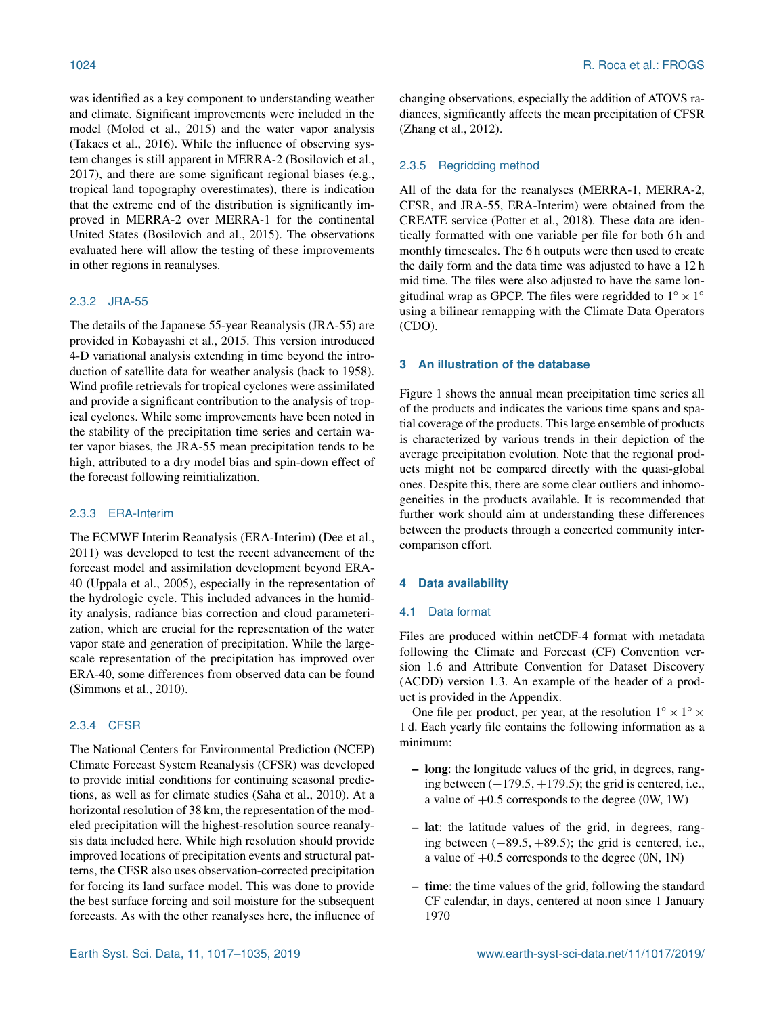was identified as a key component to understanding weather and climate. Significant improvements were included in the model (Molod et al., 2015) and the water vapor analysis (Takacs et al., 2016). While the influence of observing system changes is still apparent in MERRA-2 (Bosilovich et al., 2017), and there are some significant regional biases (e.g., tropical land topography overestimates), there is indication that the extreme end of the distribution is significantly improved in MERRA-2 over MERRA-1 for the continental United States (Bosilovich and al., 2015). The observations evaluated here will allow the testing of these improvements in other regions in reanalyses.

# 2.3.2 JRA-55

The details of the Japanese 55-year Reanalysis (JRA-55) are provided in Kobayashi et al., 2015. This version introduced 4-D variational analysis extending in time beyond the introduction of satellite data for weather analysis (back to 1958). Wind profile retrievals for tropical cyclones were assimilated and provide a significant contribution to the analysis of tropical cyclones. While some improvements have been noted in the stability of the precipitation time series and certain water vapor biases, the JRA-55 mean precipitation tends to be high, attributed to a dry model bias and spin-down effect of the forecast following reinitialization.

#### 2.3.3 ERA-Interim

The ECMWF Interim Reanalysis (ERA-Interim) (Dee et al., 2011) was developed to test the recent advancement of the forecast model and assimilation development beyond ERA-40 (Uppala et al., 2005), especially in the representation of the hydrologic cycle. This included advances in the humidity analysis, radiance bias correction and cloud parameterization, which are crucial for the representation of the water vapor state and generation of precipitation. While the largescale representation of the precipitation has improved over ERA-40, some differences from observed data can be found (Simmons et al., 2010).

## 2.3.4 CFSR

The National Centers for Environmental Prediction (NCEP) Climate Forecast System Reanalysis (CFSR) was developed to provide initial conditions for continuing seasonal predictions, as well as for climate studies (Saha et al., 2010). At a horizontal resolution of 38 km, the representation of the modeled precipitation will the highest-resolution source reanalysis data included here. While high resolution should provide improved locations of precipitation events and structural patterns, the CFSR also uses observation-corrected precipitation for forcing its land surface model. This was done to provide the best surface forcing and soil moisture for the subsequent forecasts. As with the other reanalyses here, the influence of changing observations, especially the addition of ATOVS radiances, significantly affects the mean precipitation of CFSR (Zhang et al., 2012).

## 2.3.5 Regridding method

All of the data for the reanalyses (MERRA-1, MERRA-2, CFSR, and JRA-55, ERA-Interim) were obtained from the CREATE service (Potter et al., 2018). These data are identically formatted with one variable per file for both 6 h and monthly timescales. The 6 h outputs were then used to create the daily form and the data time was adjusted to have a 12 h mid time. The files were also adjusted to have the same longitudinal wrap as GPCP. The files were regridded to  $1^\circ \times 1^\circ$ using a bilinear remapping with the Climate Data Operators (CDO).

## **3 An illustration of the database**

Figure 1 shows the annual mean precipitation time series all of the products and indicates the various time spans and spatial coverage of the products. This large ensemble of products is characterized by various trends in their depiction of the average precipitation evolution. Note that the regional products might not be compared directly with the quasi-global ones. Despite this, there are some clear outliers and inhomogeneities in the products available. It is recommended that further work should aim at understanding these differences between the products through a concerted community intercomparison effort.

# **4 Data availability**

## 4.1 Data format

Files are produced within netCDF-4 format with metadata following the Climate and Forecast (CF) Convention version 1.6 and Attribute Convention for Dataset Discovery (ACDD) version 1.3. An example of the header of a product is provided in the Appendix.

One file per product, per year, at the resolution  $1^\circ \times 1^\circ \times$ 1 d. Each yearly file contains the following information as a minimum:

- long: the longitude values of the grid, in degrees, ranging between  $(-179.5, +179.5)$ ; the grid is centered, i.e., a value of  $+0.5$  corresponds to the degree (0W, 1W)
- lat: the latitude values of the grid, in degrees, ranging between  $(-89.5, +89.5)$ ; the grid is centered, i.e., a value of  $+0.5$  corresponds to the degree (0N, 1N)
- time: the time values of the grid, following the standard CF calendar, in days, centered at noon since 1 January 1970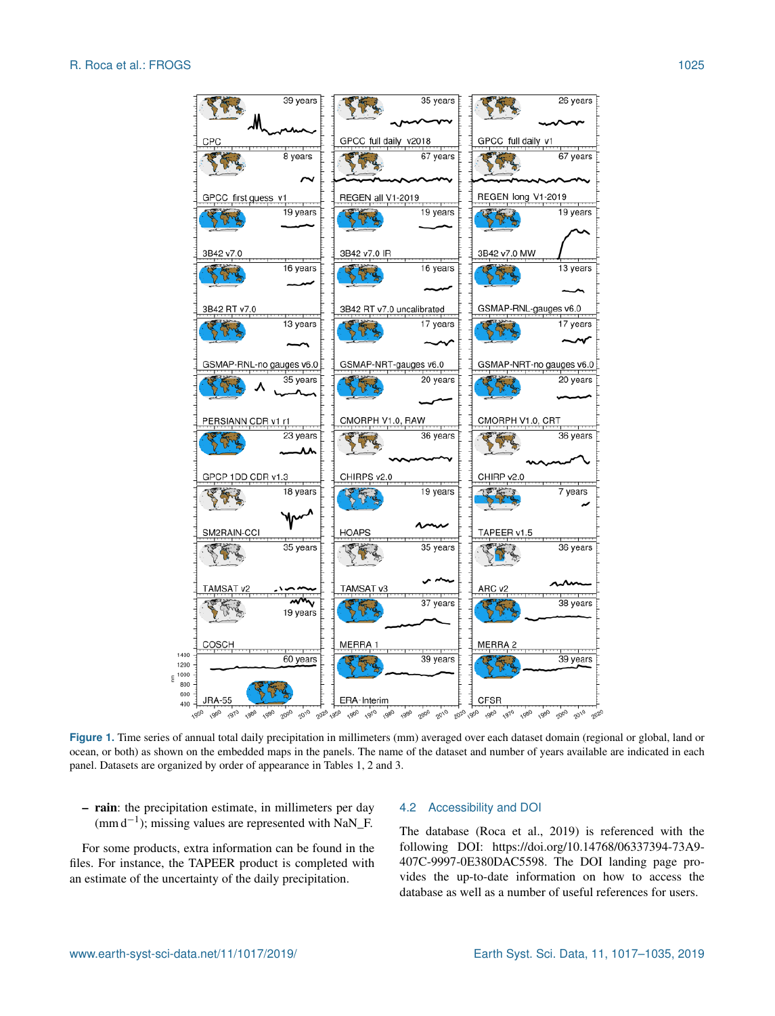

**Figure 1.** Time series of annual total daily precipitation in millimeters (mm) averaged over each dataset domain (regional or global, land or ocean, or both) as shown on the embedded maps in the panels. The name of the dataset and number of years available are indicated in each panel. Datasets are organized by order of appearance in Tables 1, 2 and 3.

– rain: the precipitation estimate, in millimeters per day (mm d−<sup>1</sup> ); missing values are represented with NaN\_F.

For some products, extra information can be found in the files. For instance, the TAPEER product is completed with an estimate of the uncertainty of the daily precipitation.

#### 4.2 Accessibility and DOI

The database (Roca et al., 2019) is referenced with the following DOI: https://doi.org[/10.14768/06337394-73A9-](https://doi.org/10.14768/06337394-73A9-407C-9997-0E380DAC5598) [407C-9997-0E380DAC5598.](https://doi.org/10.14768/06337394-73A9-407C-9997-0E380DAC5598) The DOI landing page provides the up-to-date information on how to access the database as well as a number of useful references for users.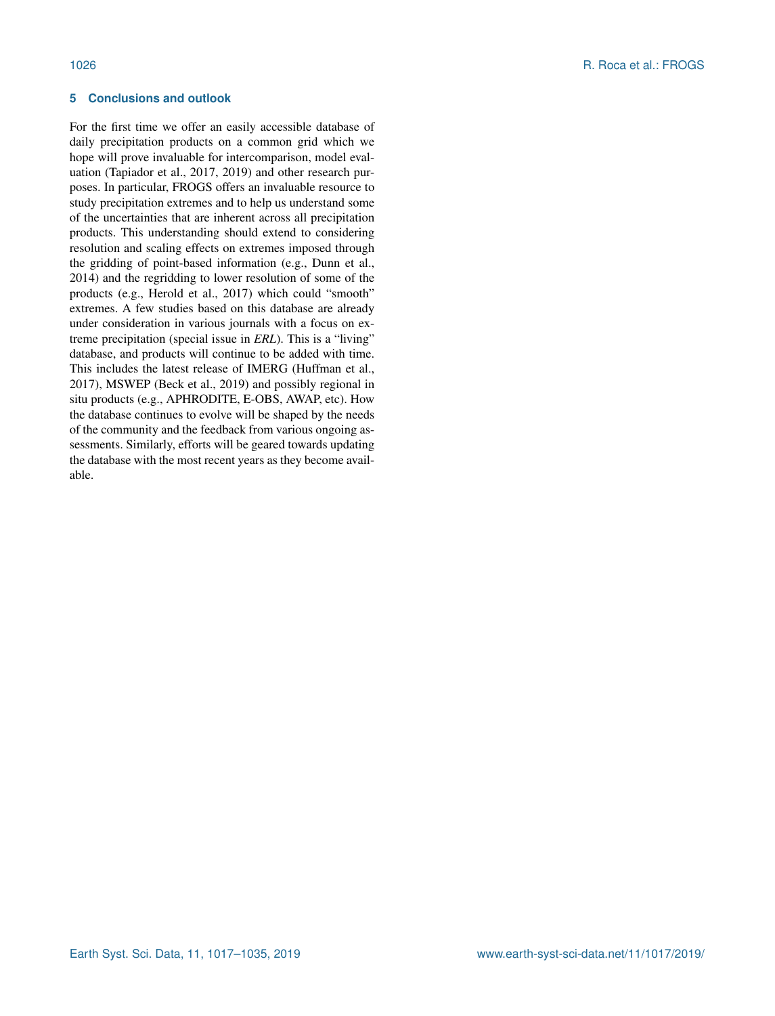# **5 Conclusions and outlook**

For the first time we offer an easily accessible database of daily precipitation products on a common grid which we hope will prove invaluable for intercomparison, model evaluation (Tapiador et al., 2017, 2019) and other research purposes. In particular, FROGS offers an invaluable resource to study precipitation extremes and to help us understand some of the uncertainties that are inherent across all precipitation products. This understanding should extend to considering resolution and scaling effects on extremes imposed through the gridding of point-based information (e.g., Dunn et al., 2014) and the regridding to lower resolution of some of the products (e.g., Herold et al., 2017) which could "smooth" extremes. A few studies based on this database are already under consideration in various journals with a focus on extreme precipitation (special issue in *ERL*). This is a "living" database, and products will continue to be added with time. This includes the latest release of IMERG (Huffman et al., 2017), MSWEP (Beck et al., 2019) and possibly regional in situ products (e.g., APHRODITE, E-OBS, AWAP, etc). How the database continues to evolve will be shaped by the needs of the community and the feedback from various ongoing assessments. Similarly, efforts will be geared towards updating the database with the most recent years as they become available.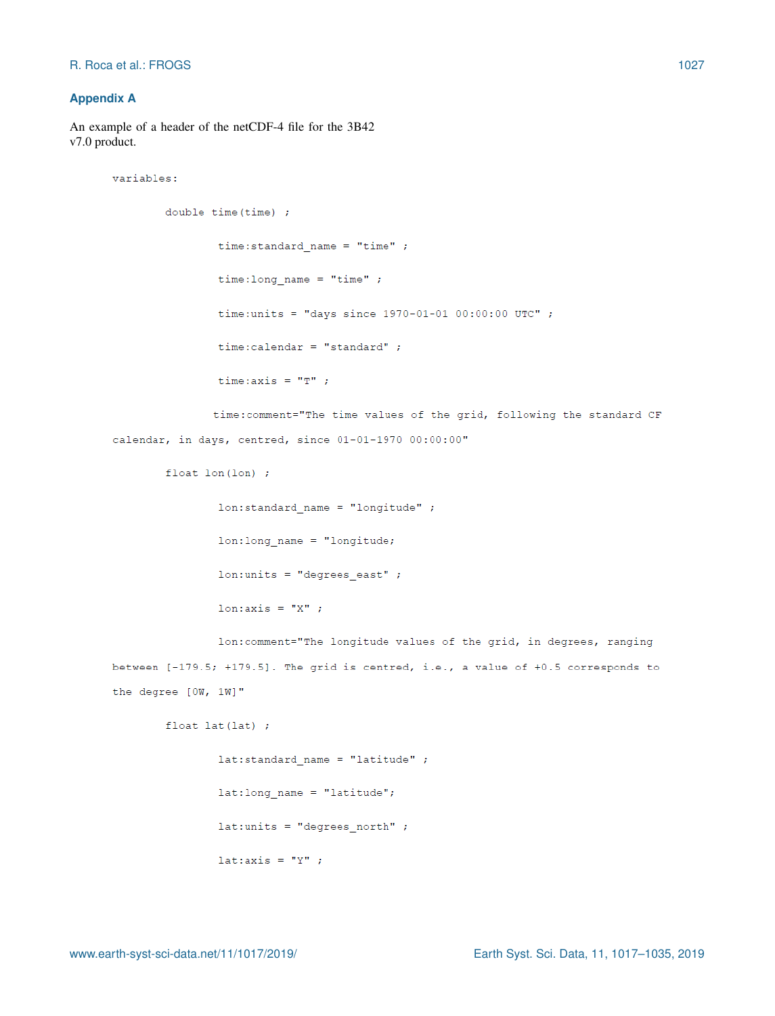variables:

# **Appendix A**

An example of a header of the netCDF-4 file for the 3B42 v7.0 product.

```
double time(time);
        time:standard_name = "time";
        time: long name = "time" ;
        time: units = "days since 1970 - 01 - 01 00:00:00 UTC" ;
        time:calendar = "standard" ;
        time: axis = "T" ;
       time: comment="The time values of the grid, following the standard CF
```
calendar, in days, centred, since 01-01-1970 00:00:00"

float  $lon(lon)$ ;

 $lon: standard name = "longitude"$  $lon: long_name = "longitude;$  $lon: units = "degrees east"$ ;  $l$ on: axis = "X";

lon: comment="The longitude values of the grid, in degrees, ranging between  $[-179.5; +179.5]$ . The grid is centred, i.e., a value of  $+0.5$  corresponds to the degree [OW, 1W]"

float  $lat(lat)$ ;

```
lat:standard_name = "latitude";
lat:long_name = "latitude";lat:units = "degrees north";
lat:axis = "Y" ;
```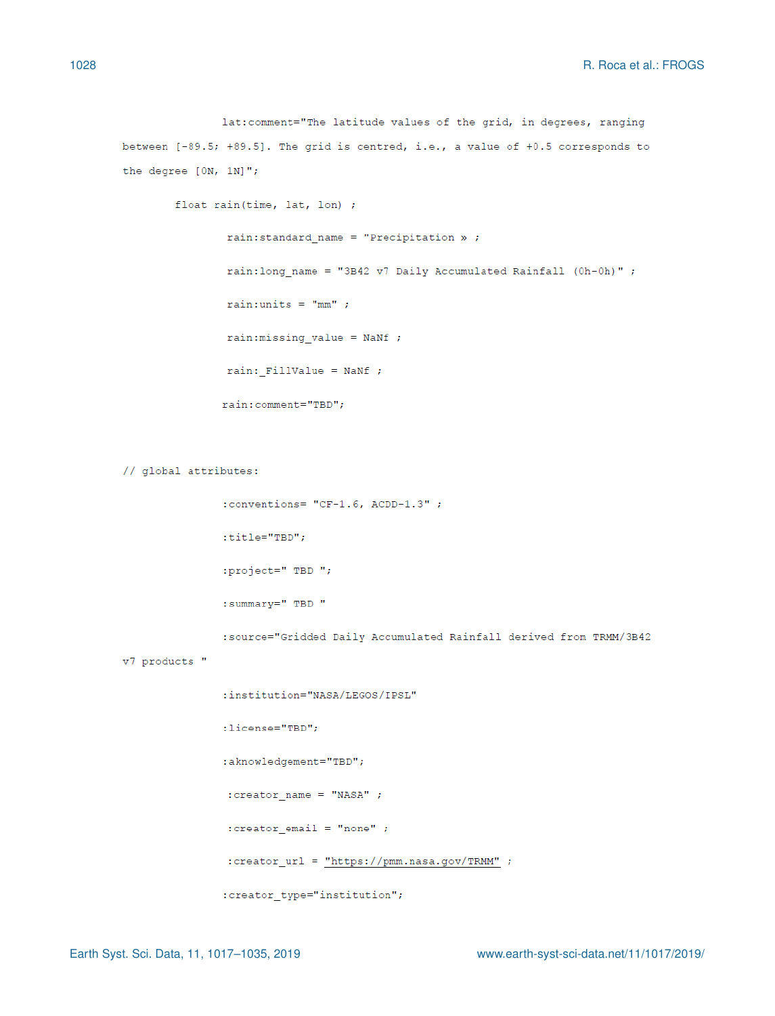lat:comment="The latitude values of the grid, in degrees, ranging between [-89.5; +89.5]. The grid is centred, i.e., a value of +0.5 corresponds to the degree [ON, 1N]";

```
float rain(time, lat, lon) ;
       rain:standard_name = "Precription » ;rain: long_name = "3B42 v7 Daily Accumulated Rainfall (0h-0h)" ;
       rain:units = "mm" ;rain: missing value = NANf;
       rain: FillValue = NANf;
       rain:comment="TBD";
```
// global attributes:

```
:conventions= "CF-1.6, ACDD-1.3";
```
 $:$ title="TBD";

:project=" TBD ";

:summary=" TBD "

:source="Gridded Daily Accumulated Rainfall derived from TRMM/3B42

v7 products "

```
:institution="NASA/LEGOS/IPSL"
:license="TBD";
:aknowledgement="TBD";
: \creator_name = "NASA" ;
: creator\_email = "none" ;: creator_url = \frac{m}{m}ttps://pmm.nasa.gov/TRMM" ;
:creator_type="institution";
```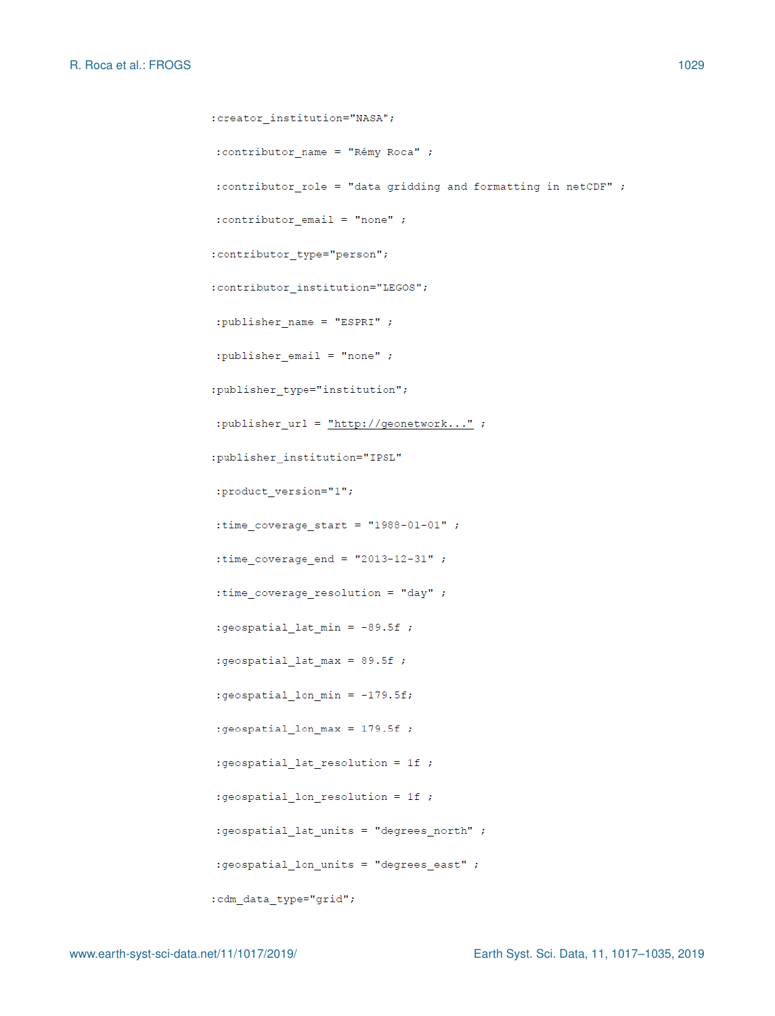```
:creator institution="NASA";
: contributor_name = "Rémy Roca" ;
: contributor_role = "data gridding and formatting in netCDF" ;
: contributor email = "none" ;
:contributor type="person";
:contributor_institution="LEGOS";
:publisher_name = "ESPRI" ;
: publisher email = "none" ;:publisher type="institution";
:publisher_url = "http://geometry..." ;
:publisher_institution="IPSL"
:product_version="1";
:time_coverage_start = "1988-01-01";
: time coverage end = "2013-12-31";
: time_coverage_resolution = "day" ;
:geospatial_lat_min = -89.5f;
:geospatial lat max = 89.5f ;
:geospatial_lon_min = -179.5f;
:geospatial_lon_max = 179.5f;
:geospatial_lat_resolution = 1f ;
:geospatial_lon_resolution = 1f ;
:geospatial_lat_units = "degrees_north" ;
:geospatial_lon_units = "degrees_east" ;
:cdm_data_type="grid";
```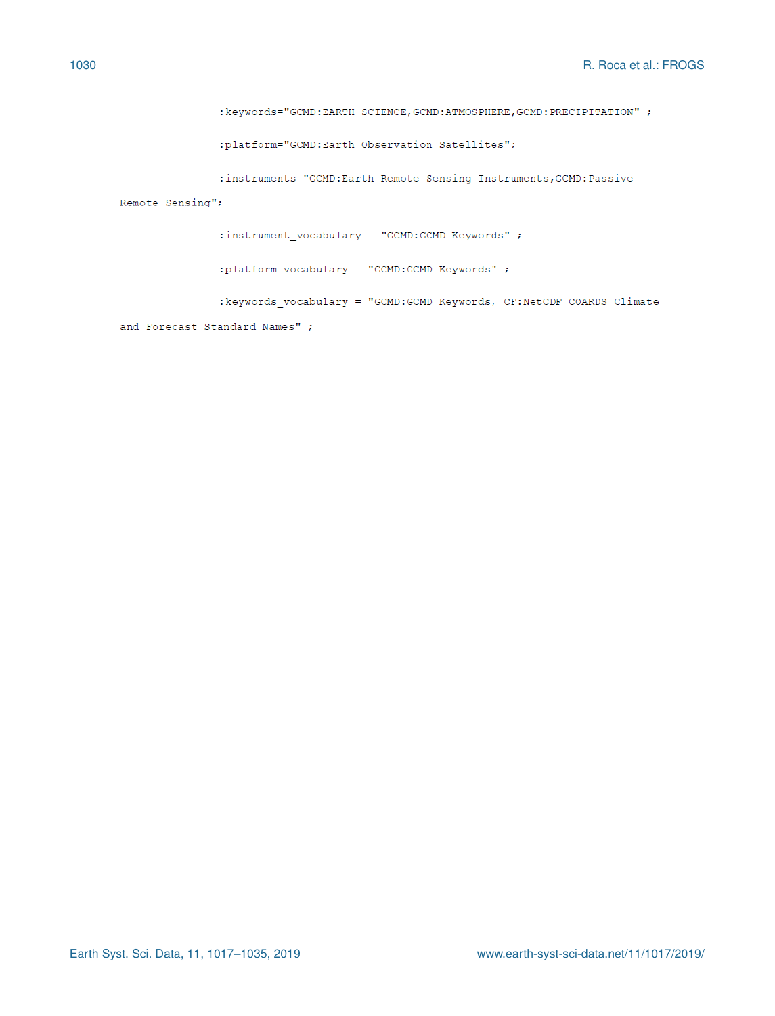```
: keywords="GCMD: EARTH SCIENCE, GCMD: ATMOSPHERE, GCMD: PRECIPITATION" ;
```
:platform="GCMD:Earth Observation Satellites";

```
:instruments="GCMD:Earth Remote Sensing Instruments, GCMD:Passive
```
Remote Sensing";

: instrument\_vocabulary = "GCMD:GCMD Keywords" ;

:platform\_vocabulary = "GCMD:GCMD Keywords" ;

: keywords\_vocabulary = "GCMD: GCMD Keywords, CF: NetCDF COARDS Climate

and Forecast Standard Names" ;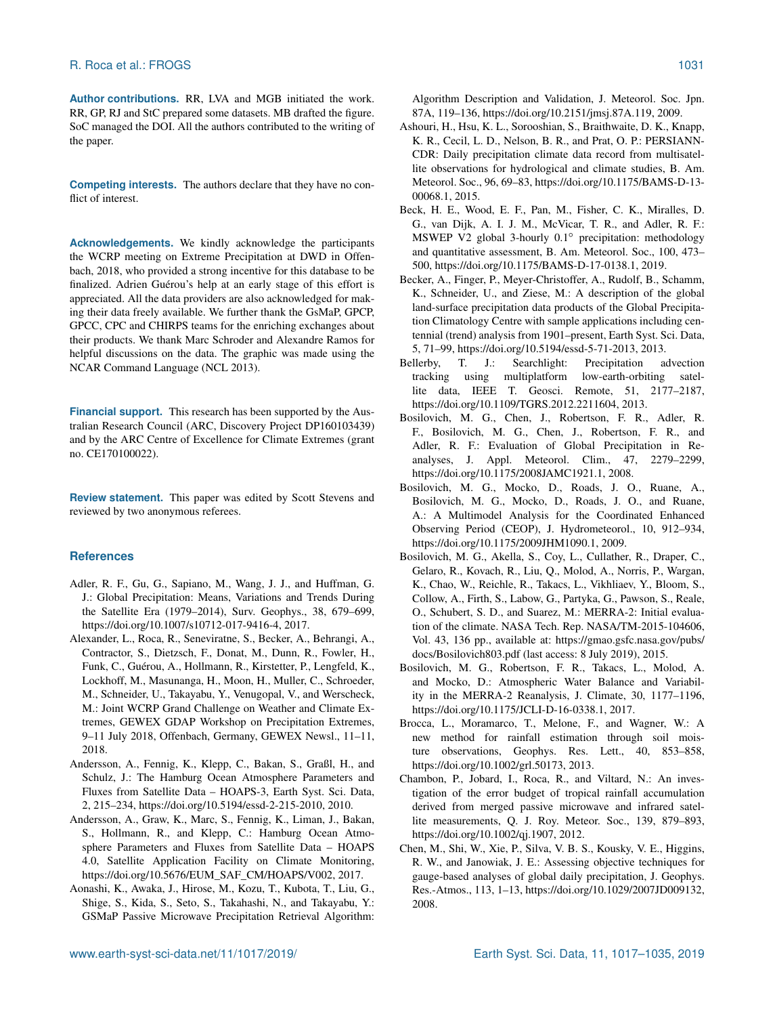**Author contributions.** RR, LVA and MGB initiated the work. RR, GP, RJ and StC prepared some datasets. MB drafted the figure. SoC managed the DOI. All the authors contributed to the writing of the paper.

**Competing interests.** The authors declare that they have no conflict of interest.

**Acknowledgements.** We kindly acknowledge the participants the WCRP meeting on Extreme Precipitation at DWD in Offenbach, 2018, who provided a strong incentive for this database to be finalized. Adrien Guérou's help at an early stage of this effort is appreciated. All the data providers are also acknowledged for making their data freely available. We further thank the GsMaP, GPCP, GPCC, CPC and CHIRPS teams for the enriching exchanges about their products. We thank Marc Schroder and Alexandre Ramos for helpful discussions on the data. The graphic was made using the NCAR Command Language (NCL 2013).

**Financial support.** This research has been supported by the Australian Research Council (ARC, Discovery Project DP160103439) and by the ARC Centre of Excellence for Climate Extremes (grant no. CE170100022).

**Review statement.** This paper was edited by Scott Stevens and reviewed by two anonymous referees.

## **References**

- Adler, R. F., Gu, G., Sapiano, M., Wang, J. J., and Huffman, G. J.: Global Precipitation: Means, Variations and Trends During the Satellite Era (1979–2014), Surv. Geophys., 38, 679–699, https://doi.org[/10.1007/s10712-017-9416-4,](https://doi.org/10.1007/s10712-017-9416-4) 2017.
- Alexander, L., Roca, R., Seneviratne, S., Becker, A., Behrangi, A., Contractor, S., Dietzsch, F., Donat, M., Dunn, R., Fowler, H., Funk, C., Guérou, A., Hollmann, R., Kirstetter, P., Lengfeld, K., Lockhoff, M., Masunanga, H., Moon, H., Muller, C., Schroeder, M., Schneider, U., Takayabu, Y., Venugopal, V., and Werscheck, M.: Joint WCRP Grand Challenge on Weather and Climate Extremes, GEWEX GDAP Workshop on Precipitation Extremes, 9–11 July 2018, Offenbach, Germany, GEWEX Newsl., 11–11, 2018.
- Andersson, A., Fennig, K., Klepp, C., Bakan, S., Graßl, H., and Schulz, J.: The Hamburg Ocean Atmosphere Parameters and Fluxes from Satellite Data – HOAPS-3, Earth Syst. Sci. Data, 2, 215–234, https://doi.org[/10.5194/essd-2-215-2010,](https://doi.org/10.5194/essd-2-215-2010) 2010.
- Andersson, A., Graw, K., Marc, S., Fennig, K., Liman, J., Bakan, S., Hollmann, R., and Klepp, C.: Hamburg Ocean Atmosphere Parameters and Fluxes from Satellite Data – HOAPS 4.0, Satellite Application Facility on Climate Monitoring, https://doi.org[/10.5676/EUM\\_SAF\\_CM/HOAPS/V002,](https://doi.org/10.5676/EUM_SAF_CM/HOAPS/V002) 2017.
- Aonashi, K., Awaka, J., Hirose, M., Kozu, T., Kubota, T., Liu, G., Shige, S., Kida, S., Seto, S., Takahashi, N., and Takayabu, Y.: GSMaP Passive Microwave Precipitation Retrieval Algorithm:

Algorithm Description and Validation, J. Meteorol. Soc. Jpn. 87A, 119–136, https://doi.org[/10.2151/jmsj.87A.119,](https://doi.org/10.2151/jmsj.87A.119) 2009.

- Ashouri, H., Hsu, K. L., Sorooshian, S., Braithwaite, D. K., Knapp, K. R., Cecil, L. D., Nelson, B. R., and Prat, O. P.: PERSIANN-CDR: Daily precipitation climate data record from multisatellite observations for hydrological and climate studies, B. Am. Meteorol. Soc., 96, 69–83, https://doi.org[/10.1175/BAMS-D-13-](https://doi.org/10.1175/BAMS-D-13-00068.1) [00068.1,](https://doi.org/10.1175/BAMS-D-13-00068.1) 2015.
- Beck, H. E., Wood, E. F., Pan, M., Fisher, C. K., Miralles, D. G., van Dijk, A. I. J. M., McVicar, T. R., and Adler, R. F.: MSWEP V2 global 3-hourly 0.1◦ precipitation: methodology and quantitative assessment, B. Am. Meteorol. Soc., 100, 473– 500, https://doi.org[/10.1175/BAMS-D-17-0138.1,](https://doi.org/10.1175/BAMS-D-17-0138.1) 2019.
- Becker, A., Finger, P., Meyer-Christoffer, A., Rudolf, B., Schamm, K., Schneider, U., and Ziese, M.: A description of the global land-surface precipitation data products of the Global Precipitation Climatology Centre with sample applications including centennial (trend) analysis from 1901–present, Earth Syst. Sci. Data, 5, 71–99, https://doi.org[/10.5194/essd-5-71-2013,](https://doi.org/10.5194/essd-5-71-2013) 2013.
- Bellerby, T. J.: Searchlight: Precipitation advection tracking using multiplatform low-earth-orbiting satellite data, IEEE T. Geosci. Remote, 51, 2177–2187, https://doi.org[/10.1109/TGRS.2012.2211604,](https://doi.org/10.1109/TGRS.2012.2211604) 2013.
- Bosilovich, M. G., Chen, J., Robertson, F. R., Adler, R. F., Bosilovich, M. G., Chen, J., Robertson, F. R., and Adler, R. F.: Evaluation of Global Precipitation in Reanalyses, J. Appl. Meteorol. Clim., 47, 2279–2299, https://doi.org[/10.1175/2008JAMC1921.1,](https://doi.org/10.1175/2008JAMC1921.1) 2008.
- Bosilovich, M. G., Mocko, D., Roads, J. O., Ruane, A., Bosilovich, M. G., Mocko, D., Roads, J. O., and Ruane, A.: A Multimodel Analysis for the Coordinated Enhanced Observing Period (CEOP), J. Hydrometeorol., 10, 912–934, https://doi.org[/10.1175/2009JHM1090.1,](https://doi.org/10.1175/2009JHM1090.1) 2009.
- Bosilovich, M. G., Akella, S., Coy, L., Cullather, R., Draper, C., Gelaro, R., Kovach, R., Liu, Q., Molod, A., Norris, P., Wargan, K., Chao, W., Reichle, R., Takacs, L., Vikhliaev, Y., Bloom, S., Collow, A., Firth, S., Labow, G., Partyka, G., Pawson, S., Reale, O., Schubert, S. D., and Suarez, M.: MERRA-2: Initial evaluation of the climate. NASA Tech. Rep. NASA/TM-2015-104606, Vol. 43, 136 pp., available at: [https://gmao.gsfc.nasa.gov/pubs/](https://gmao.gsfc.nasa.gov/pubs/docs/Bosilovich803.pdf) [docs/Bosilovich803.pdf](https://gmao.gsfc.nasa.gov/pubs/docs/Bosilovich803.pdf) (last access: 8 July 2019), 2015.
- Bosilovich, M. G., Robertson, F. R., Takacs, L., Molod, A. and Mocko, D.: Atmospheric Water Balance and Variability in the MERRA-2 Reanalysis, J. Climate, 30, 1177–1196, https://doi.org[/10.1175/JCLI-D-16-0338.1,](https://doi.org/10.1175/JCLI-D-16-0338.1) 2017.
- Brocca, L., Moramarco, T., Melone, F., and Wagner, W.: A new method for rainfall estimation through soil moisture observations, Geophys. Res. Lett., 40, 853–858, https://doi.org[/10.1002/grl.50173,](https://doi.org/10.1002/grl.50173) 2013.
- Chambon, P., Jobard, I., Roca, R., and Viltard, N.: An investigation of the error budget of tropical rainfall accumulation derived from merged passive microwave and infrared satellite measurements, Q. J. Roy. Meteor. Soc., 139, 879–893, https://doi.org[/10.1002/qj.1907,](https://doi.org/10.1002/qj.1907) 2012.
- Chen, M., Shi, W., Xie, P., Silva, V. B. S., Kousky, V. E., Higgins, R. W., and Janowiak, J. E.: Assessing objective techniques for gauge-based analyses of global daily precipitation, J. Geophys. Res.-Atmos., 113, 1–13, https://doi.org[/10.1029/2007JD009132,](https://doi.org/10.1029/2007JD009132) 2008.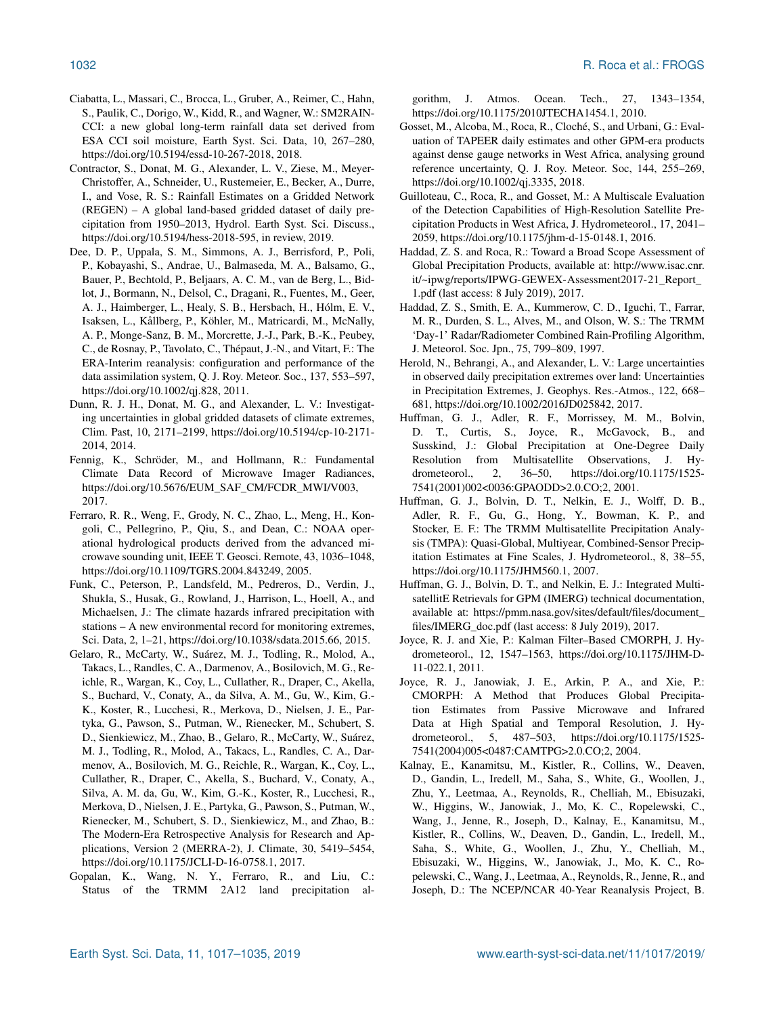- Ciabatta, L., Massari, C., Brocca, L., Gruber, A., Reimer, C., Hahn, S., Paulik, C., Dorigo, W., Kidd, R., and Wagner, W.: SM2RAIN-CCI: a new global long-term rainfall data set derived from ESA CCI soil moisture, Earth Syst. Sci. Data, 10, 267–280, https://doi.org[/10.5194/essd-10-267-2018,](https://doi.org/10.5194/essd-10-267-2018) 2018.
- Contractor, S., Donat, M. G., Alexander, L. V., Ziese, M., Meyer-Christoffer, A., Schneider, U., Rustemeier, E., Becker, A., Durre, I., and Vose, R. S.: Rainfall Estimates on a Gridded Network (REGEN) – A global land-based gridded dataset of daily precipitation from 1950–2013, Hydrol. Earth Syst. Sci. Discuss., https://doi.org[/10.5194/hess-2018-595,](https://doi.org/10.5194/hess-2018-595) in review, 2019.
- Dee, D. P., Uppala, S. M., Simmons, A. J., Berrisford, P., Poli, P., Kobayashi, S., Andrae, U., Balmaseda, M. A., Balsamo, G., Bauer, P., Bechtold, P., Beljaars, A. C. M., van de Berg, L., Bidlot, J., Bormann, N., Delsol, C., Dragani, R., Fuentes, M., Geer, A. J., Haimberger, L., Healy, S. B., Hersbach, H., Hólm, E. V., Isaksen, L., Kållberg, P., Köhler, M., Matricardi, M., McNally, A. P., Monge-Sanz, B. M., Morcrette, J.-J., Park, B.-K., Peubey, C., de Rosnay, P., Tavolato, C., Thépaut, J.-N., and Vitart, F.: The ERA-Interim reanalysis: configuration and performance of the data assimilation system, Q. J. Roy. Meteor. Soc., 137, 553–597, https://doi.org[/10.1002/qj.828,](https://doi.org/10.1002/qj.828) 2011.
- Dunn, R. J. H., Donat, M. G., and Alexander, L. V.: Investigating uncertainties in global gridded datasets of climate extremes, Clim. Past, 10, 2171–2199, https://doi.org[/10.5194/cp-10-2171-](https://doi.org/10.5194/cp-10-2171-2014) [2014,](https://doi.org/10.5194/cp-10-2171-2014) 2014.
- Fennig, K., Schröder, M., and Hollmann, R.: Fundamental Climate Data Record of Microwave Imager Radiances, https://doi.org[/10.5676/EUM\\_SAF\\_CM/FCDR\\_MWI/V003,](https://doi.org/10.5676/EUM_SAF_CM/FCDR_MWI/V003) 2017.
- Ferraro, R. R., Weng, F., Grody, N. C., Zhao, L., Meng, H., Kongoli, C., Pellegrino, P., Qiu, S., and Dean, C.: NOAA operational hydrological products derived from the advanced microwave sounding unit, IEEE T. Geosci. Remote, 43, 1036–1048, https://doi.org[/10.1109/TGRS.2004.843249,](https://doi.org/10.1109/TGRS.2004.843249) 2005.
- Funk, C., Peterson, P., Landsfeld, M., Pedreros, D., Verdin, J., Shukla, S., Husak, G., Rowland, J., Harrison, L., Hoell, A., and Michaelsen, J.: The climate hazards infrared precipitation with stations – A new environmental record for monitoring extremes, Sci. Data, 2, 1–21, https://doi.org[/10.1038/sdata.2015.66,](https://doi.org/10.1038/sdata.2015.66) 2015.
- Gelaro, R., McCarty, W., Suárez, M. J., Todling, R., Molod, A., Takacs, L., Randles, C. A., Darmenov, A., Bosilovich, M. G., Reichle, R., Wargan, K., Coy, L., Cullather, R., Draper, C., Akella, S., Buchard, V., Conaty, A., da Silva, A. M., Gu, W., Kim, G.- K., Koster, R., Lucchesi, R., Merkova, D., Nielsen, J. E., Partyka, G., Pawson, S., Putman, W., Rienecker, M., Schubert, S. D., Sienkiewicz, M., Zhao, B., Gelaro, R., McCarty, W., Suárez, M. J., Todling, R., Molod, A., Takacs, L., Randles, C. A., Darmenov, A., Bosilovich, M. G., Reichle, R., Wargan, K., Coy, L., Cullather, R., Draper, C., Akella, S., Buchard, V., Conaty, A., Silva, A. M. da, Gu, W., Kim, G.-K., Koster, R., Lucchesi, R., Merkova, D., Nielsen, J. E., Partyka, G., Pawson, S., Putman, W., Rienecker, M., Schubert, S. D., Sienkiewicz, M., and Zhao, B.: The Modern-Era Retrospective Analysis for Research and Applications, Version 2 (MERRA-2), J. Climate, 30, 5419–5454, https://doi.org[/10.1175/JCLI-D-16-0758.1,](https://doi.org/10.1175/JCLI-D-16-0758.1) 2017.
- Gopalan, K., Wang, N. Y., Ferraro, R., and Liu, C.: Status of the TRMM 2A12 land precipitation al-

gorithm, J. Atmos. Ocean. Tech., 27, 1343–1354, https://doi.org[/10.1175/2010JTECHA1454.1,](https://doi.org/10.1175/2010JTECHA1454.1) 2010.

- Gosset, M., Alcoba, M., Roca, R., Cloché, S., and Urbani, G.: Evaluation of TAPEER daily estimates and other GPM-era products against dense gauge networks in West Africa, analysing ground reference uncertainty, Q. J. Roy. Meteor. Soc, 144, 255–269, https://doi.org[/10.1002/qj.3335,](https://doi.org/10.1002/qj.3335) 2018.
- Guilloteau, C., Roca, R., and Gosset, M.: A Multiscale Evaluation of the Detection Capabilities of High-Resolution Satellite Precipitation Products in West Africa, J. Hydrometeorol., 17, 2041– 2059, https://doi.org[/10.1175/jhm-d-15-0148.1,](https://doi.org/10.1175/jhm-d-15-0148.1) 2016.
- Haddad, Z. S. and Roca, R.: Toward a Broad Scope Assessment of Global Precipitation Products, available at: [http://www.isac.cnr.](http://www.isac.cnr.it/~ipwg/reports/IPWG-GEWEX-Assessment2017-21_Report_1.pdf) [it/~ipwg/reports/IPWG-GEWEX-Assessment2017-21\\_Report\\_](http://www.isac.cnr.it/~ipwg/reports/IPWG-GEWEX-Assessment2017-21_Report_1.pdf) [1.pdf](http://www.isac.cnr.it/~ipwg/reports/IPWG-GEWEX-Assessment2017-21_Report_1.pdf) (last access: 8 July 2019), 2017.
- Haddad, Z. S., Smith, E. A., Kummerow, C. D., Iguchi, T., Farrar, M. R., Durden, S. L., Alves, M., and Olson, W. S.: The TRMM 'Day-1' Radar/Radiometer Combined Rain-Profiling Algorithm, J. Meteorol. Soc. Jpn., 75, 799–809, 1997.
- Herold, N., Behrangi, A., and Alexander, L. V.: Large uncertainties in observed daily precipitation extremes over land: Uncertainties in Precipitation Extremes, J. Geophys. Res.-Atmos., 122, 668– 681, https://doi.org[/10.1002/2016JD025842,](https://doi.org/10.1002/2016JD025842) 2017.
- Huffman, G. J., Adler, R. F., Morrissey, M. M., Bolvin, D. T., Curtis, S., Joyce, R., McGavock, B., and Susskind, J.: Global Precipitation at One-Degree Daily Resolution from Multisatellite Observations, J. Hydrometeorol., 2, 36–50, https://doi.org[/10.1175/1525-](https://doi.org/10.1175/1525-7541(2001)002<0036:GPAODD>2.0.CO;2) [7541\(2001\)002<0036:GPAODD>2.0.CO;2,](https://doi.org/10.1175/1525-7541(2001)002<0036:GPAODD>2.0.CO;2) 2001.
- Huffman, G. J., Bolvin, D. T., Nelkin, E. J., Wolff, D. B., Adler, R. F., Gu, G., Hong, Y., Bowman, K. P., and Stocker, E. F.: The TRMM Multisatellite Precipitation Analysis (TMPA): Quasi-Global, Multiyear, Combined-Sensor Precipitation Estimates at Fine Scales, J. Hydrometeorol., 8, 38–55, https://doi.org[/10.1175/JHM560.1,](https://doi.org/10.1175/JHM560.1) 2007.
- Huffman, G. J., Bolvin, D. T., and Nelkin, E. J.: Integrated MultisatellitE Retrievals for GPM (IMERG) technical documentation, available at: [https://pmm.nasa.gov/sites/default/files/document\\_](https://pmm.nasa.gov/sites/default/files/document_files/IMERG_doc.pdf) [files/IMERG\\_doc.pdf](https://pmm.nasa.gov/sites/default/files/document_files/IMERG_doc.pdf) (last access: 8 July 2019), 2017.
- Joyce, R. J. and Xie, P.: Kalman Filter–Based CMORPH, J. Hydrometeorol., 12, 1547–1563, https://doi.org[/10.1175/JHM-D-](https://doi.org/10.1175/JHM-D-11-022.1)[11-022.1,](https://doi.org/10.1175/JHM-D-11-022.1) 2011.
- Joyce, R. J., Janowiak, J. E., Arkin, P. A., and Xie, P.: CMORPH: A Method that Produces Global Precipitation Estimates from Passive Microwave and Infrared Data at High Spatial and Temporal Resolution, J. Hydrometeorol., 5, 487–503, https://doi.org[/10.1175/1525-](https://doi.org/10.1175/1525-7541(2004)005<0487:CAMTPG>2.0.CO;2) [7541\(2004\)005<0487:CAMTPG>2.0.CO;2,](https://doi.org/10.1175/1525-7541(2004)005<0487:CAMTPG>2.0.CO;2) 2004.
- Kalnay, E., Kanamitsu, M., Kistler, R., Collins, W., Deaven, D., Gandin, L., Iredell, M., Saha, S., White, G., Woollen, J., Zhu, Y., Leetmaa, A., Reynolds, R., Chelliah, M., Ebisuzaki, W., Higgins, W., Janowiak, J., Mo, K. C., Ropelewski, C., Wang, J., Jenne, R., Joseph, D., Kalnay, E., Kanamitsu, M., Kistler, R., Collins, W., Deaven, D., Gandin, L., Iredell, M., Saha, S., White, G., Woollen, J., Zhu, Y., Chelliah, M., Ebisuzaki, W., Higgins, W., Janowiak, J., Mo, K. C., Ropelewski, C., Wang, J., Leetmaa, A., Reynolds, R., Jenne, R., and Joseph, D.: The NCEP/NCAR 40-Year Reanalysis Project, B.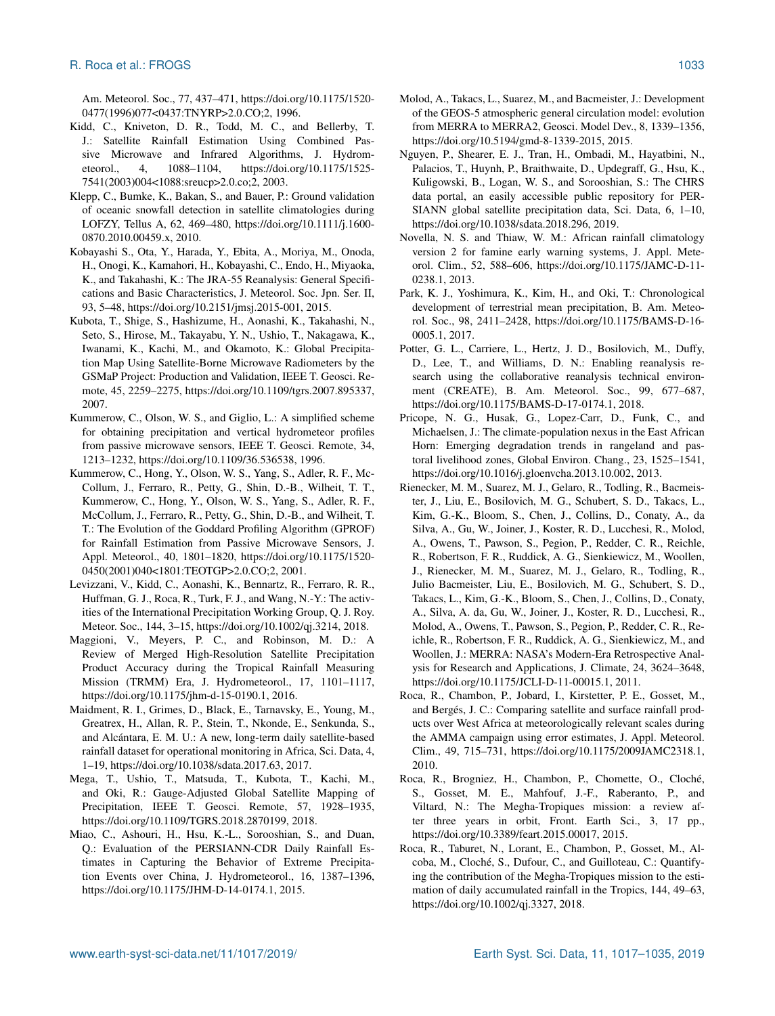Am. Meteorol. Soc., 77, 437–471, https://doi.org[/10.1175/1520-](https://doi.org/10.1175/1520-0477(1996)077<0437:TNYRP>2.0.CO;2) [0477\(1996\)077<0437:TNYRP>2.0.CO;2,](https://doi.org/10.1175/1520-0477(1996)077<0437:TNYRP>2.0.CO;2) 1996.

- Kidd, C., Kniveton, D. R., Todd, M. C., and Bellerby, T. J.: Satellite Rainfall Estimation Using Combined Passive Microwave and Infrared Algorithms, J. Hydrometeorol., 4, 1088–1104, https://doi.org[/10.1175/1525-](https://doi.org/10.1175/1525-7541(2003)004<1088:sreucp>2.0.co;2) [7541\(2003\)004<1088:sreucp>2.0.co;2,](https://doi.org/10.1175/1525-7541(2003)004<1088:sreucp>2.0.co;2) 2003.
- Klepp, C., Bumke, K., Bakan, S., and Bauer, P.: Ground validation of oceanic snowfall detection in satellite climatologies during LOFZY, Tellus A, 62, 469–480, https://doi.org[/10.1111/j.1600-](https://doi.org/10.1111/j.1600-0870.2010.00459.x) [0870.2010.00459.x,](https://doi.org/10.1111/j.1600-0870.2010.00459.x) 2010.
- Kobayashi S., Ota, Y., Harada, Y., Ebita, A., Moriya, M., Onoda, H., Onogi, K., Kamahori, H., Kobayashi, C., Endo, H., Miyaoka, K., and Takahashi, K.: The JRA-55 Reanalysis: General Specifications and Basic Characteristics, J. Meteorol. Soc. Jpn. Ser. II, 93, 5–48, https://doi.org[/10.2151/jmsj.2015-001,](https://doi.org/10.2151/jmsj.2015-001) 2015.
- Kubota, T., Shige, S., Hashizume, H., Aonashi, K., Takahashi, N., Seto, S., Hirose, M., Takayabu, Y. N., Ushio, T., Nakagawa, K., Iwanami, K., Kachi, M., and Okamoto, K.: Global Precipitation Map Using Satellite-Borne Microwave Radiometers by the GSMaP Project: Production and Validation, IEEE T. Geosci. Remote, 45, 2259–2275, https://doi.org[/10.1109/tgrs.2007.895337,](https://doi.org/10.1109/tgrs.2007.895337) 2007.
- Kummerow, C., Olson, W. S., and Giglio, L.: A simplified scheme for obtaining precipitation and vertical hydrometeor profiles from passive microwave sensors, IEEE T. Geosci. Remote, 34, 1213–1232, https://doi.org[/10.1109/36.536538,](https://doi.org/10.1109/36.536538) 1996.
- Kummerow, C., Hong, Y., Olson, W. S., Yang, S., Adler, R. F., Mc-Collum, J., Ferraro, R., Petty, G., Shin, D.-B., Wilheit, T. T., Kummerow, C., Hong, Y., Olson, W. S., Yang, S., Adler, R. F., McCollum, J., Ferraro, R., Petty, G., Shin, D.-B., and Wilheit, T. T.: The Evolution of the Goddard Profiling Algorithm (GPROF) for Rainfall Estimation from Passive Microwave Sensors, J. Appl. Meteorol., 40, 1801–1820, https://doi.org[/10.1175/1520-](https://doi.org/10.1175/1520-0450(2001)040<1801:TEOTGP>2.0.CO;2) [0450\(2001\)040<1801:TEOTGP>2.0.CO;2,](https://doi.org/10.1175/1520-0450(2001)040<1801:TEOTGP>2.0.CO;2) 2001.
- Levizzani, V., Kidd, C., Aonashi, K., Bennartz, R., Ferraro, R. R., Huffman, G. J., Roca, R., Turk, F. J., and Wang, N.-Y.: The activities of the International Precipitation Working Group, Q. J. Roy. Meteor. Soc., 144, 3–15, https://doi.org[/10.1002/qj.3214,](https://doi.org/10.1002/qj.3214) 2018.
- Maggioni, V., Meyers, P. C., and Robinson, M. D.: A Review of Merged High-Resolution Satellite Precipitation Product Accuracy during the Tropical Rainfall Measuring Mission (TRMM) Era, J. Hydrometeorol., 17, 1101–1117, https://doi.org[/10.1175/jhm-d-15-0190.1,](https://doi.org/10.1175/jhm-d-15-0190.1) 2016.
- Maidment, R. I., Grimes, D., Black, E., Tarnavsky, E., Young, M., Greatrex, H., Allan, R. P., Stein, T., Nkonde, E., Senkunda, S., and Alcántara, E. M. U.: A new, long-term daily satellite-based rainfall dataset for operational monitoring in Africa, Sci. Data, 4, 1–19, https://doi.org[/10.1038/sdata.2017.63,](https://doi.org/10.1038/sdata.2017.63) 2017.
- Mega, T., Ushio, T., Matsuda, T., Kubota, T., Kachi, M., and Oki, R.: Gauge-Adjusted Global Satellite Mapping of Precipitation, IEEE T. Geosci. Remote, 57, 1928–1935, https://doi.org[/10.1109/TGRS.2018.2870199,](https://doi.org/10.1109/TGRS.2018.2870199) 2018.
- Miao, C., Ashouri, H., Hsu, K.-L., Sorooshian, S., and Duan, Q.: Evaluation of the PERSIANN-CDR Daily Rainfall Estimates in Capturing the Behavior of Extreme Precipitation Events over China, J. Hydrometeorol., 16, 1387–1396, https://doi.org[/10.1175/JHM-D-14-0174.1,](https://doi.org/10.1175/JHM-D-14-0174.1) 2015.
- Molod, A., Takacs, L., Suarez, M., and Bacmeister, J.: Development of the GEOS-5 atmospheric general circulation model: evolution from MERRA to MERRA2, Geosci. Model Dev., 8, 1339–1356, https://doi.org[/10.5194/gmd-8-1339-2015,](https://doi.org/10.5194/gmd-8-1339-2015) 2015.
- Nguyen, P., Shearer, E. J., Tran, H., Ombadi, M., Hayatbini, N., Palacios, T., Huynh, P., Braithwaite, D., Updegraff, G., Hsu, K., Kuligowski, B., Logan, W. S., and Sorooshian, S.: The CHRS data portal, an easily accessible public repository for PER-SIANN global satellite precipitation data, Sci. Data, 6, 1–10, https://doi.org[/10.1038/sdata.2018.296,](https://doi.org/10.1038/sdata.2018.296) 2019.
- Novella, N. S. and Thiaw, W. M.: African rainfall climatology version 2 for famine early warning systems, J. Appl. Meteorol. Clim., 52, 588–606, https://doi.org[/10.1175/JAMC-D-11-](https://doi.org/10.1175/JAMC-D-11-0238.1) [0238.1,](https://doi.org/10.1175/JAMC-D-11-0238.1) 2013.
- Park, K. J., Yoshimura, K., Kim, H., and Oki, T.: Chronological development of terrestrial mean precipitation, B. Am. Meteorol. Soc., 98, 2411–2428, https://doi.org[/10.1175/BAMS-D-16-](https://doi.org/10.1175/BAMS-D-16-0005.1) [0005.1,](https://doi.org/10.1175/BAMS-D-16-0005.1) 2017.
- Potter, G. L., Carriere, L., Hertz, J. D., Bosilovich, M., Duffy, D., Lee, T., and Williams, D. N.: Enabling reanalysis research using the collaborative reanalysis technical environment (CREATE), B. Am. Meteorol. Soc., 99, 677–687, https://doi.org[/10.1175/BAMS-D-17-0174.1,](https://doi.org/10.1175/BAMS-D-17-0174.1) 2018.
- Pricope, N. G., Husak, G., Lopez-Carr, D., Funk, C., and Michaelsen, J.: The climate-population nexus in the East African Horn: Emerging degradation trends in rangeland and pastoral livelihood zones, Global Environ. Chang., 23, 1525–1541, https://doi.org[/10.1016/j.gloenvcha.2013.10.002,](https://doi.org/10.1016/j.gloenvcha.2013.10.002) 2013.
- Rienecker, M. M., Suarez, M. J., Gelaro, R., Todling, R., Bacmeister, J., Liu, E., Bosilovich, M. G., Schubert, S. D., Takacs, L., Kim, G.-K., Bloom, S., Chen, J., Collins, D., Conaty, A., da Silva, A., Gu, W., Joiner, J., Koster, R. D., Lucchesi, R., Molod, A., Owens, T., Pawson, S., Pegion, P., Redder, C. R., Reichle, R., Robertson, F. R., Ruddick, A. G., Sienkiewicz, M., Woollen, J., Rienecker, M. M., Suarez, M. J., Gelaro, R., Todling, R., Julio Bacmeister, Liu, E., Bosilovich, M. G., Schubert, S. D., Takacs, L., Kim, G.-K., Bloom, S., Chen, J., Collins, D., Conaty, A., Silva, A. da, Gu, W., Joiner, J., Koster, R. D., Lucchesi, R., Molod, A., Owens, T., Pawson, S., Pegion, P., Redder, C. R., Reichle, R., Robertson, F. R., Ruddick, A. G., Sienkiewicz, M., and Woollen, J.: MERRA: NASA's Modern-Era Retrospective Analysis for Research and Applications, J. Climate, 24, 3624–3648, https://doi.org[/10.1175/JCLI-D-11-00015.1,](https://doi.org/10.1175/JCLI-D-11-00015.1) 2011.
- Roca, R., Chambon, P., Jobard, I., Kirstetter, P. E., Gosset, M., and Bergés, J. C.: Comparing satellite and surface rainfall products over West Africa at meteorologically relevant scales during the AMMA campaign using error estimates, J. Appl. Meteorol. Clim., 49, 715–731, https://doi.org[/10.1175/2009JAMC2318.1,](https://doi.org/10.1175/2009JAMC2318.1) 2010.
- Roca, R., Brogniez, H., Chambon, P., Chomette, O., Cloché, S., Gosset, M. E., Mahfouf, J.-F., Raberanto, P., and Viltard, N.: The Megha-Tropiques mission: a review after three years in orbit, Front. Earth Sci., 3, 17 pp., https://doi.org[/10.3389/feart.2015.00017,](https://doi.org/10.3389/feart.2015.00017) 2015.
- Roca, R., Taburet, N., Lorant, E., Chambon, P., Gosset, M., Alcoba, M., Cloché, S., Dufour, C., and Guilloteau, C.: Quantifying the contribution of the Megha-Tropiques mission to the estimation of daily accumulated rainfall in the Tropics, 144, 49–63, https://doi.org[/10.1002/qj.3327,](https://doi.org/10.1002/qj.3327) 2018.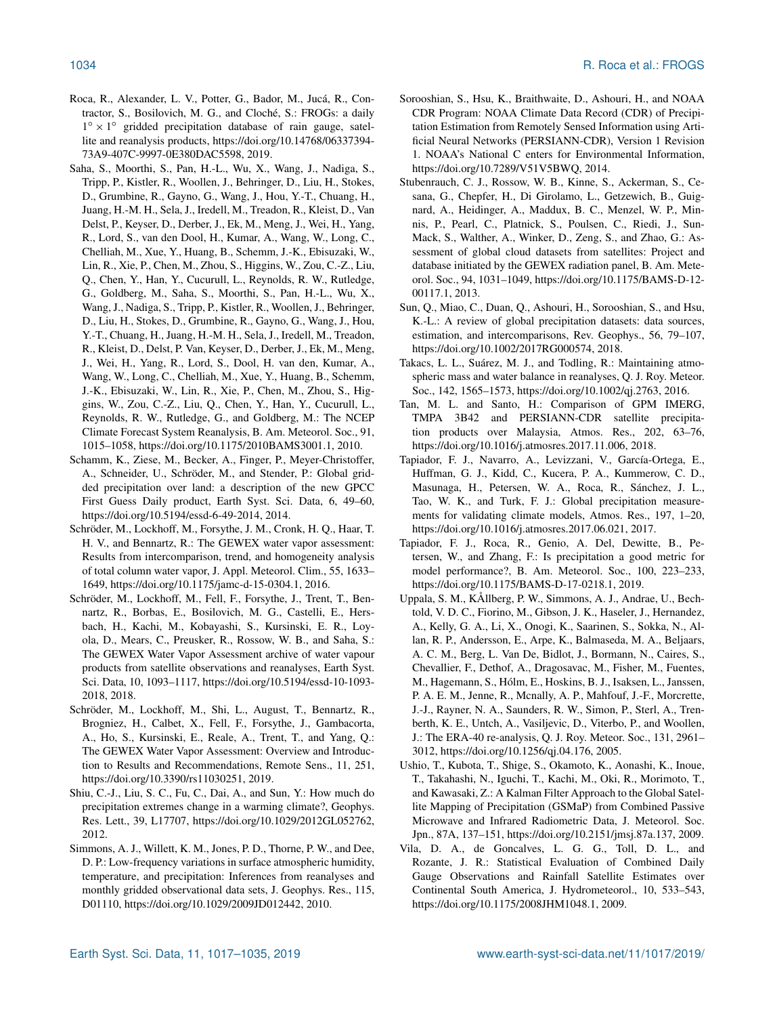- Roca, R., Alexander, L. V., Potter, G., Bador, M., Jucá, R., Contractor, S., Bosilovich, M. G., and Cloché, S.: FROGs: a daily 1° × 1° gridded precipitation database of rain gauge, satellite and reanalysis products, https://doi.org[/10.14768/06337394-](https://doi.org/10.14768/06337394-73A9-407C-9997-0E380DAC5598) [73A9-407C-9997-0E380DAC5598,](https://doi.org/10.14768/06337394-73A9-407C-9997-0E380DAC5598) 2019.
- Saha, S., Moorthi, S., Pan, H.-L., Wu, X., Wang, J., Nadiga, S., Tripp, P., Kistler, R., Woollen, J., Behringer, D., Liu, H., Stokes, D., Grumbine, R., Gayno, G., Wang, J., Hou, Y.-T., Chuang, H., Juang, H.-M. H., Sela, J., Iredell, M., Treadon, R., Kleist, D., Van Delst, P., Keyser, D., Derber, J., Ek, M., Meng, J., Wei, H., Yang, R., Lord, S., van den Dool, H., Kumar, A., Wang, W., Long, C., Chelliah, M., Xue, Y., Huang, B., Schemm, J.-K., Ebisuzaki, W., Lin, R., Xie, P., Chen, M., Zhou, S., Higgins, W., Zou, C.-Z., Liu, Q., Chen, Y., Han, Y., Cucurull, L., Reynolds, R. W., Rutledge, G., Goldberg, M., Saha, S., Moorthi, S., Pan, H.-L., Wu, X., Wang, J., Nadiga, S., Tripp, P., Kistler, R., Woollen, J., Behringer, D., Liu, H., Stokes, D., Grumbine, R., Gayno, G., Wang, J., Hou, Y.-T., Chuang, H., Juang, H.-M. H., Sela, J., Iredell, M., Treadon, R., Kleist, D., Delst, P. Van, Keyser, D., Derber, J., Ek, M., Meng, J., Wei, H., Yang, R., Lord, S., Dool, H. van den, Kumar, A., Wang, W., Long, C., Chelliah, M., Xue, Y., Huang, B., Schemm, J.-K., Ebisuzaki, W., Lin, R., Xie, P., Chen, M., Zhou, S., Higgins, W., Zou, C.-Z., Liu, Q., Chen, Y., Han, Y., Cucurull, L., Reynolds, R. W., Rutledge, G., and Goldberg, M.: The NCEP Climate Forecast System Reanalysis, B. Am. Meteorol. Soc., 91, 1015–1058, https://doi.org[/10.1175/2010BAMS3001.1,](https://doi.org/10.1175/2010BAMS3001.1) 2010.
- Schamm, K., Ziese, M., Becker, A., Finger, P., Meyer-Christoffer, A., Schneider, U., Schröder, M., and Stender, P.: Global gridded precipitation over land: a description of the new GPCC First Guess Daily product, Earth Syst. Sci. Data, 6, 49–60, https://doi.org[/10.5194/essd-6-49-2014,](https://doi.org/10.5194/essd-6-49-2014) 2014.
- Schröder, M., Lockhoff, M., Forsythe, J. M., Cronk, H. Q., Haar, T. H. V., and Bennartz, R.: The GEWEX water vapor assessment: Results from intercomparison, trend, and homogeneity analysis of total column water vapor, J. Appl. Meteorol. Clim., 55, 1633– 1649, https://doi.org[/10.1175/jamc-d-15-0304.1,](https://doi.org/10.1175/jamc-d-15-0304.1) 2016.
- Schröder, M., Lockhoff, M., Fell, F., Forsythe, J., Trent, T., Bennartz, R., Borbas, E., Bosilovich, M. G., Castelli, E., Hersbach, H., Kachi, M., Kobayashi, S., Kursinski, E. R., Loyola, D., Mears, C., Preusker, R., Rossow, W. B., and Saha, S.: The GEWEX Water Vapor Assessment archive of water vapour products from satellite observations and reanalyses, Earth Syst. Sci. Data, 10, 1093–1117, https://doi.org[/10.5194/essd-10-1093-](https://doi.org/10.5194/essd-10-1093-2018) [2018,](https://doi.org/10.5194/essd-10-1093-2018) 2018.
- Schröder, M., Lockhoff, M., Shi, L., August, T., Bennartz, R., Brogniez, H., Calbet, X., Fell, F., Forsythe, J., Gambacorta, A., Ho, S., Kursinski, E., Reale, A., Trent, T., and Yang, Q.: The GEWEX Water Vapor Assessment: Overview and Introduction to Results and Recommendations, Remote Sens., 11, 251, https://doi.org[/10.3390/rs11030251,](https://doi.org/10.3390/rs11030251) 2019.
- Shiu, C.-J., Liu, S. C., Fu, C., Dai, A., and Sun, Y.: How much do precipitation extremes change in a warming climate?, Geophys. Res. Lett., 39, L17707, https://doi.org[/10.1029/2012GL052762,](https://doi.org/10.1029/2012GL052762) 2012.
- Simmons, A. J., Willett, K. M., Jones, P. D., Thorne, P. W., and Dee, D. P.: Low-frequency variations in surface atmospheric humidity, temperature, and precipitation: Inferences from reanalyses and monthly gridded observational data sets, J. Geophys. Res., 115, D01110, https://doi.org[/10.1029/2009JD012442,](https://doi.org/10.1029/2009JD012442) 2010.
- Sorooshian, S., Hsu, K., Braithwaite, D., Ashouri, H., and NOAA CDR Program: NOAA Climate Data Record (CDR) of Precipitation Estimation from Remotely Sensed Information using Artificial Neural Networks (PERSIANN-CDR), Version 1 Revision 1. NOAA's National C enters for Environmental Information, https://doi.org[/10.7289/V51V5BWQ,](https://doi.org/10.7289/V51V5BWQ) 2014.
- Stubenrauch, C. J., Rossow, W. B., Kinne, S., Ackerman, S., Cesana, G., Chepfer, H., Di Girolamo, L., Getzewich, B., Guignard, A., Heidinger, A., Maddux, B. C., Menzel, W. P., Minnis, P., Pearl, C., Platnick, S., Poulsen, C., Riedi, J., Sun-Mack, S., Walther, A., Winker, D., Zeng, S., and Zhao, G.: Assessment of global cloud datasets from satellites: Project and database initiated by the GEWEX radiation panel, B. Am. Meteorol. Soc., 94, 1031–1049, https://doi.org[/10.1175/BAMS-D-12-](https://doi.org/10.1175/BAMS-D-12-00117.1) [00117.1,](https://doi.org/10.1175/BAMS-D-12-00117.1) 2013.
- Sun, Q., Miao, C., Duan, Q., Ashouri, H., Sorooshian, S., and Hsu, K.-L.: A review of global precipitation datasets: data sources, estimation, and intercomparisons, Rev. Geophys., 56, 79–107, https://doi.org[/10.1002/2017RG000574,](https://doi.org/10.1002/2017RG000574) 2018.
- Takacs, L. L., Suárez, M. J., and Todling, R.: Maintaining atmospheric mass and water balance in reanalyses, Q. J. Roy. Meteor. Soc., 142, 1565–1573, https://doi.org[/10.1002/qj.2763,](https://doi.org/10.1002/qj.2763) 2016.
- Tan, M. L. and Santo, H.: Comparison of GPM IMERG, TMPA 3B42 and PERSIANN-CDR satellite precipitation products over Malaysia, Atmos. Res., 202, 63–76, https://doi.org[/10.1016/j.atmosres.2017.11.006,](https://doi.org/10.1016/j.atmosres.2017.11.006) 2018.
- Tapiador, F. J., Navarro, A., Levizzani, V., García-Ortega, E., Huffman, G. J., Kidd, C., Kucera, P. A., Kummerow, C. D., Masunaga, H., Petersen, W. A., Roca, R., Sánchez, J. L., Tao, W. K., and Turk, F. J.: Global precipitation measurements for validating climate models, Atmos. Res., 197, 1–20, https://doi.org[/10.1016/j.atmosres.2017.06.021,](https://doi.org/10.1016/j.atmosres.2017.06.021) 2017.
- Tapiador, F. J., Roca, R., Genio, A. Del, Dewitte, B., Petersen, W., and Zhang, F.: Is precipitation a good metric for model performance?, B. Am. Meteorol. Soc., 100, 223–233, https://doi.org[/10.1175/BAMS-D-17-0218.1,](https://doi.org/10.1175/BAMS-D-17-0218.1) 2019.
- Uppala, S. M., KÅllberg, P. W., Simmons, A. J., Andrae, U., Bechtold, V. D. C., Fiorino, M., Gibson, J. K., Haseler, J., Hernandez, A., Kelly, G. A., Li, X., Onogi, K., Saarinen, S., Sokka, N., Allan, R. P., Andersson, E., Arpe, K., Balmaseda, M. A., Beljaars, A. C. M., Berg, L. Van De, Bidlot, J., Bormann, N., Caires, S., Chevallier, F., Dethof, A., Dragosavac, M., Fisher, M., Fuentes, M., Hagemann, S., Hólm, E., Hoskins, B. J., Isaksen, L., Janssen, P. A. E. M., Jenne, R., Mcnally, A. P., Mahfouf, J.-F., Morcrette, J.-J., Rayner, N. A., Saunders, R. W., Simon, P., Sterl, A., Trenberth, K. E., Untch, A., Vasiljevic, D., Viterbo, P., and Woollen, J.: The ERA-40 re-analysis, Q. J. Roy. Meteor. Soc., 131, 2961– 3012, https://doi.org[/10.1256/qj.04.176,](https://doi.org/10.1256/qj.04.176) 2005.
- Ushio, T., Kubota, T., Shige, S., Okamoto, K., Aonashi, K., Inoue, T., Takahashi, N., Iguchi, T., Kachi, M., Oki, R., Morimoto, T., and Kawasaki, Z.: A Kalman Filter Approach to the Global Satellite Mapping of Precipitation (GSMaP) from Combined Passive Microwave and Infrared Radiometric Data, J. Meteorol. Soc. Jpn., 87A, 137–151, https://doi.org[/10.2151/jmsj.87a.137,](https://doi.org/10.2151/jmsj.87a.137) 2009.
- Vila, D. A., de Goncalves, L. G. G., Toll, D. L., and Rozante, J. R.: Statistical Evaluation of Combined Daily Gauge Observations and Rainfall Satellite Estimates over Continental South America, J. Hydrometeorol., 10, 533–543, https://doi.org[/10.1175/2008JHM1048.1,](https://doi.org/10.1175/2008JHM1048.1) 2009.